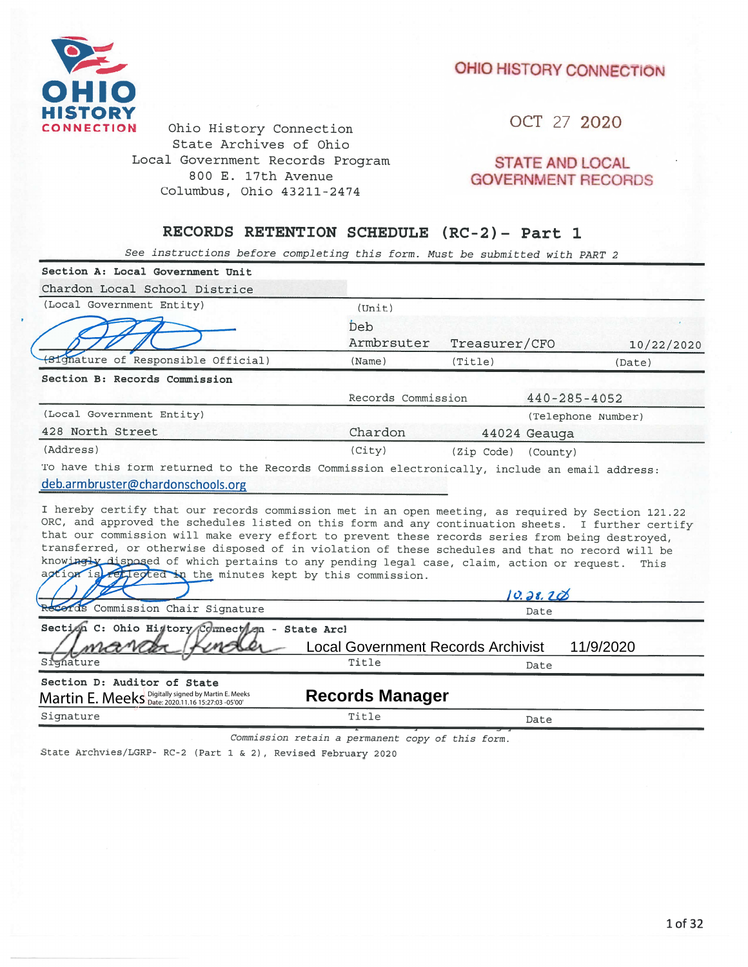## OHIO HISTORY CONNECTION



Ohio History Connection State Archives of Ohio Local Government Records Program 800 E. 17th Avenue Columbus, Ohio 43211-2474

OCT 27 2020

## **STATE AND LOCAL GOVERNMENT RECORDS**

## RECORDS RETENTION SCHEDULE (RC-2)- Part 1

See instructions before completing this form. Must be submitted with PART 2

| Section A: Local Government Unit                                                                                                                                                                                                                                                                                                                                 |                                    |               |                    |            |  |  |  |  |
|------------------------------------------------------------------------------------------------------------------------------------------------------------------------------------------------------------------------------------------------------------------------------------------------------------------------------------------------------------------|------------------------------------|---------------|--------------------|------------|--|--|--|--|
| Chardon Local School Districe                                                                                                                                                                                                                                                                                                                                    |                                    |               |                    |            |  |  |  |  |
| (Local Government Entity)                                                                                                                                                                                                                                                                                                                                        | (Unit)                             |               |                    |            |  |  |  |  |
|                                                                                                                                                                                                                                                                                                                                                                  | Deb                                |               |                    |            |  |  |  |  |
|                                                                                                                                                                                                                                                                                                                                                                  | Armbrsuter                         | Treasurer/CFO |                    | 10/22/2020 |  |  |  |  |
| Signature of Responsible Official)                                                                                                                                                                                                                                                                                                                               | (Name)                             | (Title)       |                    | (Date)     |  |  |  |  |
| Section B: Records Commission                                                                                                                                                                                                                                                                                                                                    |                                    |               |                    |            |  |  |  |  |
|                                                                                                                                                                                                                                                                                                                                                                  | Records Commission                 |               | $440 - 285 - 4052$ |            |  |  |  |  |
| (Local Government Entity)                                                                                                                                                                                                                                                                                                                                        |                                    |               | (Telephone Number) |            |  |  |  |  |
| 428 North Street                                                                                                                                                                                                                                                                                                                                                 | Chardon                            |               | 44024 Geauga       |            |  |  |  |  |
| (Address)                                                                                                                                                                                                                                                                                                                                                        | (City)                             | (Zip Code)    | (County)           |            |  |  |  |  |
| To have this form returned to the Records Commission electronically, include an email address:<br>deb.armbruster@chardonschools.org<br>I hereby certify that our records commission met in an open meeting, as required by Section 121.22<br>ORC, and approved the schedules listed on this form and any continuation sheets. I further certify                  |                                    |               |                    |            |  |  |  |  |
| that our commission will make every effort to prevent these records series from being destroyed,<br>transferred, or otherwise disposed of in violation of these schedules and that no record will be<br>knowingly disposed of which pertains to any pending legal case, claim, action or request.<br>action is reflected in the minutes kept by this commission. |                                    |               |                    | This       |  |  |  |  |
|                                                                                                                                                                                                                                                                                                                                                                  |                                    |               | 10.28.20           |            |  |  |  |  |
| cords Commission Chair Signature                                                                                                                                                                                                                                                                                                                                 |                                    |               | Date               |            |  |  |  |  |
| Section C: Ohio Higtory Connection - State Arcl                                                                                                                                                                                                                                                                                                                  |                                    |               |                    |            |  |  |  |  |
|                                                                                                                                                                                                                                                                                                                                                                  | Local Government Records Archivist |               |                    | 11/9/2020  |  |  |  |  |
| Signature                                                                                                                                                                                                                                                                                                                                                        | Title                              |               | Date               |            |  |  |  |  |
| Section D: Auditor of State<br>Martin E. Meeks Digitally signed by Martin E. Meeks                                                                                                                                                                                                                                                                               | <b>Records Manager</b>             |               |                    |            |  |  |  |  |
| Signature                                                                                                                                                                                                                                                                                                                                                        | Title                              |               | Date               |            |  |  |  |  |
|                                                                                                                                                                                                                                                                                                                                                                  |                                    |               |                    |            |  |  |  |  |

Commission retain a permanent copy of this form.

State Archvies/LGRP- RC-2 (Part 1 & 2), Revised February 2020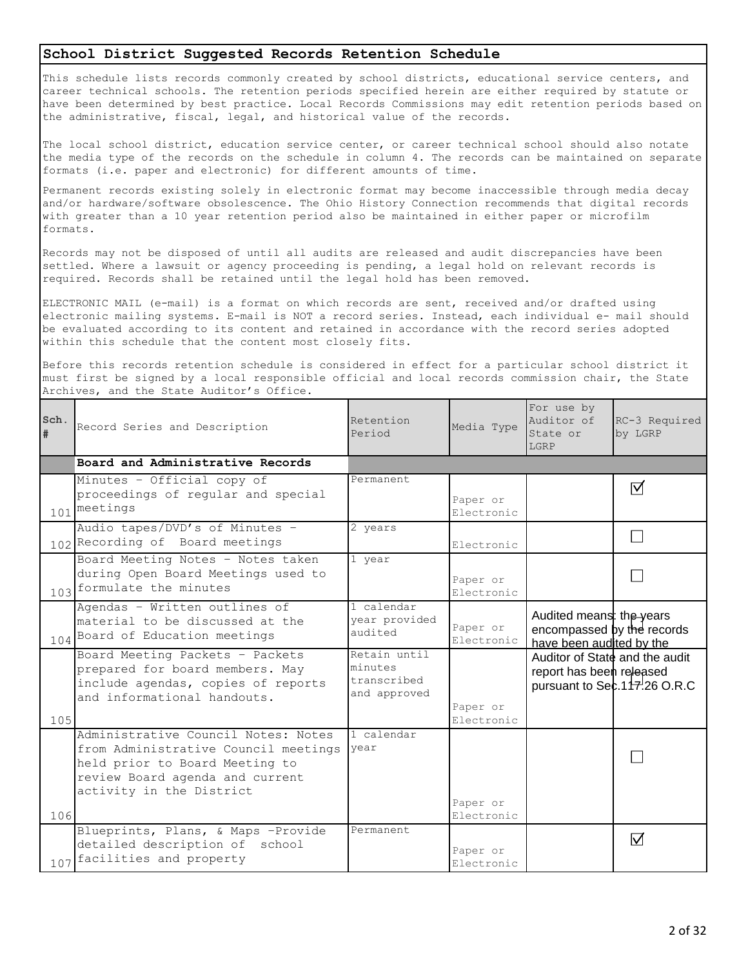## **School District Suggested Records Retention Schedule**

This schedule lists records commonly created by school districts, educational service centers, and career technical schools. The retention periods specified herein are either required by statute or have been determined by best practice. Local Records Commissions may edit retention periods based on the administrative, fiscal, legal, and historical value of the records.

The local school district, education service center, or career technical school should also notate the media type of the records on the schedule in column 4. The records can be maintained on separate formats (i.e. paper and electronic) for different amounts of time.

Permanent records existing solely in electronic format may become inaccessible through media decay and/or hardware/software obsolescence. The Ohio History Connection recommends that digital records with greater than a 10 year retention period also be maintained in either paper or microfilm formats.

Records may not be disposed of until all audits are released and audit discrepancies have been settled. Where a lawsuit or agency proceeding is pending, a legal hold on relevant records is required. Records shall be retained until the legal hold has been removed.

ELECTRONIC MAIL (e-mail) is a format on which records are sent, received and/or drafted using electronic mailing systems. E-mail is NOT a record series. Instead, each individual e- mail should be evaluated according to its content and retained in accordance with the record series adopted within this schedule that the content most closely fits.

Before this records retention schedule is considered in effect for a particular school district it must first be signed by a local responsible official and local records commission chair, the State Archives, and the State Auditor's Office.

| Sch.<br># | Record Series and Description                                                                                                                                                | Retention<br>Period                                    | Media Type             | For use by<br>Auditor of<br>State or<br>LGRP                                       | RC-3 Required<br>by LGRP      |
|-----------|------------------------------------------------------------------------------------------------------------------------------------------------------------------------------|--------------------------------------------------------|------------------------|------------------------------------------------------------------------------------|-------------------------------|
|           | Board and Administrative Records                                                                                                                                             |                                                        |                        |                                                                                    |                               |
|           | Minutes - Official copy of<br>proceedings of regular and special<br>101 meetings                                                                                             | Permanent                                              | Paper or<br>Electronic |                                                                                    | ⊠                             |
|           | Audio tapes/DVD's of Minutes -<br>102 Recording of Board meetings                                                                                                            | 2 years                                                | Electronic             |                                                                                    |                               |
|           | Board Meeting Notes - Notes taken<br>during Open Board Meetings used to<br>103 formulate the minutes                                                                         | 1 year                                                 | Paper or<br>Electronic |                                                                                    |                               |
|           | Agendas - Written outlines of<br>material to be discussed at the<br>104 Board of Education meetings                                                                          | 1 calendar<br>year provided<br>audited                 | Paper or<br>Electronic | Audited means: the years<br>encompassed by the records<br>have been audited by the |                               |
| 105       | Board Meeting Packets - Packets<br>prepared for board members. May<br>include agendas, copies of reports<br>and informational handouts.                                      | Retain until<br>minutes<br>transcribed<br>and approved | Paper or<br>Electronic | Auditor of State and the audit<br>report has been released                         | pursuant to Sec. 117.26 O.R.C |
| 106       | Administrative Council Notes: Notes<br>from Administrative Council meetings<br>held prior to Board Meeting to<br>review Board agenda and current<br>activity in the District | 1 calendar<br>year                                     | Paper or<br>Electronic |                                                                                    |                               |
|           | Blueprints, Plans, & Maps -Provide<br>detailed description of school<br>107 facilities and property                                                                          | Permanent                                              | Paper or<br>Electronic |                                                                                    | $\overline{\mathsf{M}}$       |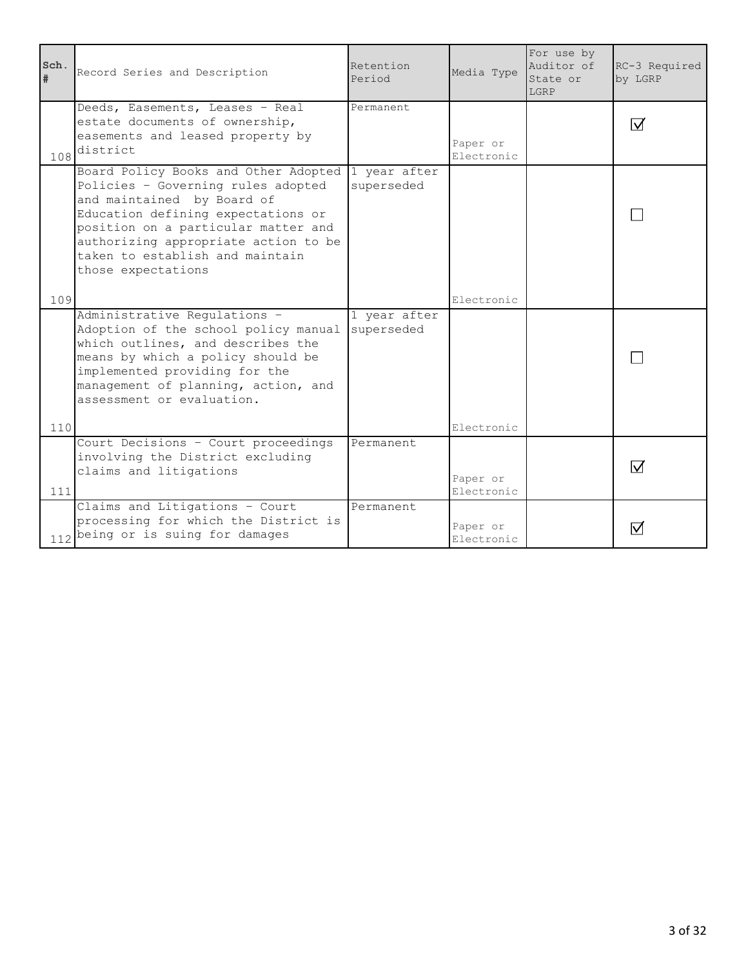| Sch.<br># | Record Series and Description                                                                                                                                                                                                                                                                       | Retention<br>Period | Media Type             | For use by<br>Auditor of<br>State or<br>LGRP | RC-3 Required<br>by LGRP |
|-----------|-----------------------------------------------------------------------------------------------------------------------------------------------------------------------------------------------------------------------------------------------------------------------------------------------------|---------------------|------------------------|----------------------------------------------|--------------------------|
| 108       | Deeds, Easements, Leases - Real<br>estate documents of ownership,<br>easements and leased property by<br>district                                                                                                                                                                                   | Permanent           | Paper or<br>Electronic |                                              | $\boxdot$                |
|           | Board Policy Books and Other Adopted 1 year after<br>Policies - Governing rules adopted<br>and maintained by Board of<br>Education defining expectations or<br>position on a particular matter and<br>authorizing appropriate action to be<br>taken to establish and maintain<br>those expectations | superseded          | Electronic             |                                              |                          |
| 109       | Administrative Regulations -                                                                                                                                                                                                                                                                        | 1 year after        |                        |                                              |                          |
|           | Adoption of the school policy manual<br>which outlines, and describes the<br>means by which a policy should be<br>implemented providing for the<br>management of planning, action, and<br>assessment or evaluation.                                                                                 | superseded          |                        |                                              |                          |
| 110       |                                                                                                                                                                                                                                                                                                     |                     | Electronic             |                                              |                          |
| $111$     | Court Decisions - Court proceedings<br>involving the District excluding<br>claims and litigations                                                                                                                                                                                                   | Permanent           | Paper or<br>Electronic |                                              | $\overline{\vee}$        |
|           | Claims and Litigations - Court<br>processing for which the District is<br>112 being or is suing for damages                                                                                                                                                                                         | Permanent           | Paper or<br>Electronic |                                              | $\boxdot$                |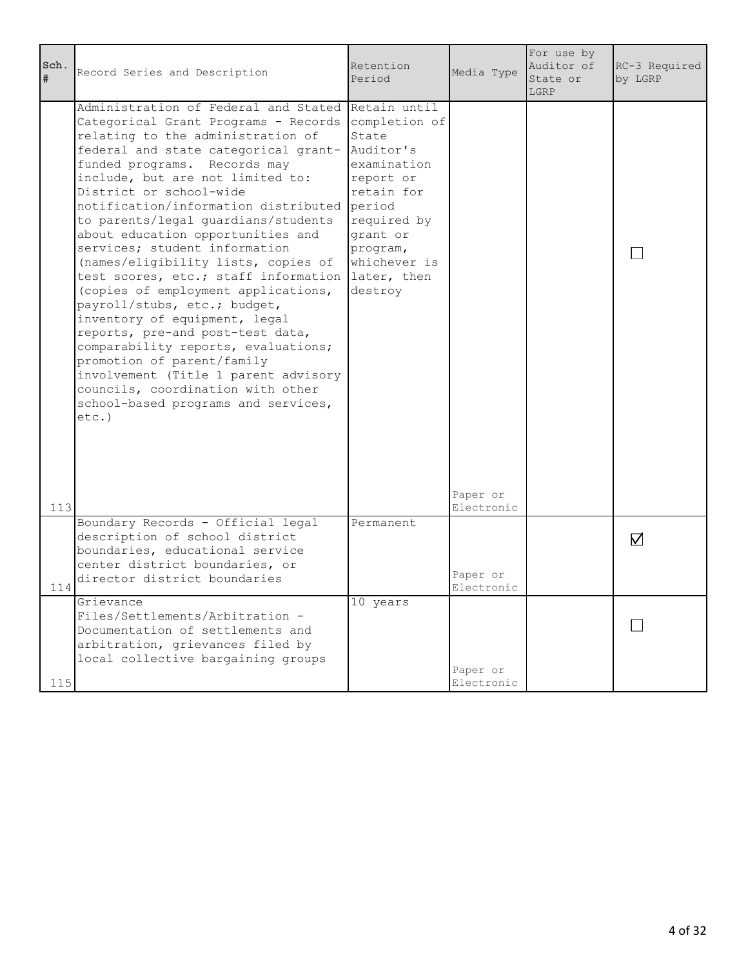| Sch.<br>$\#$ | Record Series and Description                                                                                                                                                                                                                                                                                                                                                                                                                                                                                                                                                                                                                                                                                                                                                                                                                                          | Retention<br>Period                                                                                                                                       | Media Type             | For use by<br>Auditor of<br>State or<br>LGRP | RC-3 Required<br>by LGRP |
|--------------|------------------------------------------------------------------------------------------------------------------------------------------------------------------------------------------------------------------------------------------------------------------------------------------------------------------------------------------------------------------------------------------------------------------------------------------------------------------------------------------------------------------------------------------------------------------------------------------------------------------------------------------------------------------------------------------------------------------------------------------------------------------------------------------------------------------------------------------------------------------------|-----------------------------------------------------------------------------------------------------------------------------------------------------------|------------------------|----------------------------------------------|--------------------------|
| 113          | Administration of Federal and Stated Retain until<br>Categorical Grant Programs - Records<br>relating to the administration of<br>federal and state categorical grant-<br>funded programs. Records may<br>include, but are not limited to:<br>District or school-wide<br>notification/information distributed<br>to parents/legal guardians/students<br>about education opportunities and<br>services; student information<br>(names/eligibility lists, copies of<br>test scores, etc.; staff information later, then<br>(copies of employment applications,<br>payroll/stubs, etc.; budget,<br>inventory of equipment, legal<br>reports, pre-and post-test data,<br>comparability reports, evaluations;<br>promotion of parent/family<br>involvement (Title 1 parent advisory<br>councils, coordination with other<br>school-based programs and services,<br>$etc.$ ) | completion of<br>State<br>Auditor's<br>examination<br>report or<br>retain for<br>period<br>required by<br>grant or<br>program,<br>whichever is<br>destroy | Paper or<br>Electronic |                                              |                          |
| 114          | Boundary Records - Official legal<br>description of school district<br>boundaries, educational service<br>center district boundaries, or<br>director district boundaries                                                                                                                                                                                                                                                                                                                                                                                                                                                                                                                                                                                                                                                                                               | Permanent                                                                                                                                                 | Paper or<br>Electronic |                                              | $\nabla$                 |
| 115          | Grievance<br>Files/Settlements/Arbitration -<br>Documentation of settlements and<br>arbitration, grievances filed by<br>local collective bargaining groups                                                                                                                                                                                                                                                                                                                                                                                                                                                                                                                                                                                                                                                                                                             | 10 years                                                                                                                                                  | Paper or<br>Electronic |                                              |                          |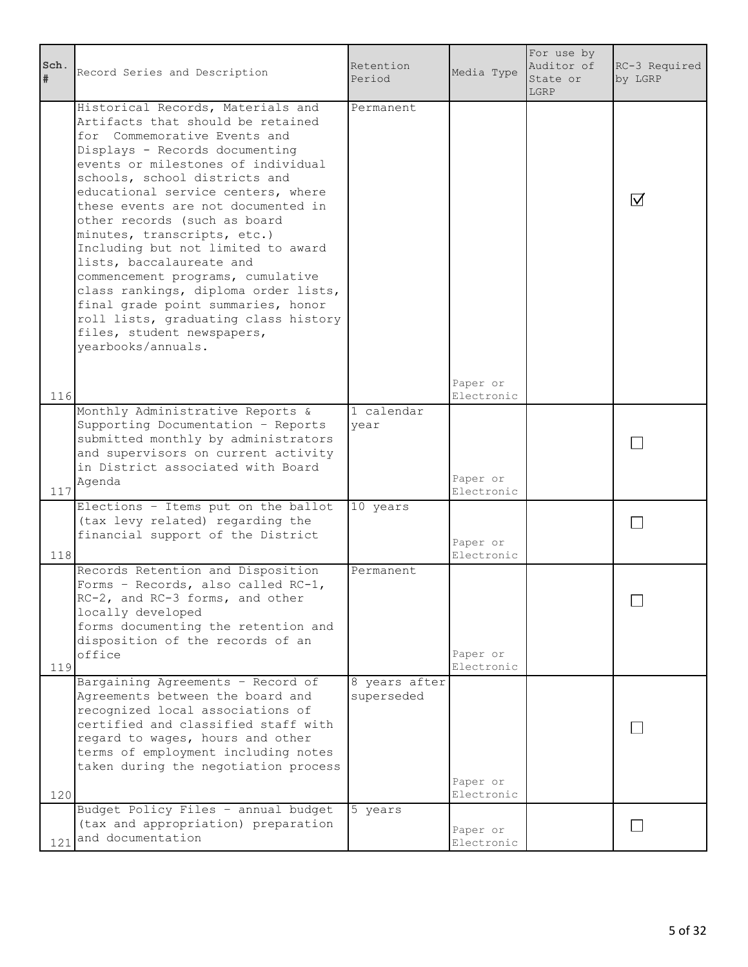| Sch.<br>#  | Record Series and Description                                                                                                                                                                                                                                                                                                                                                                                                                                                                                                                                                                                                               | Retention<br>Period         | Media Type                           | For use by<br>Auditor of<br>State or<br>LGRP | RC-3 Required<br>by LGRP |
|------------|---------------------------------------------------------------------------------------------------------------------------------------------------------------------------------------------------------------------------------------------------------------------------------------------------------------------------------------------------------------------------------------------------------------------------------------------------------------------------------------------------------------------------------------------------------------------------------------------------------------------------------------------|-----------------------------|--------------------------------------|----------------------------------------------|--------------------------|
|            | Historical Records, Materials and<br>Artifacts that should be retained<br>for Commemorative Events and<br>Displays - Records documenting<br>events or milestones of individual<br>schools, school districts and<br>educational service centers, where<br>these events are not documented in<br>other records (such as board<br>minutes, transcripts, etc.)<br>Including but not limited to award<br>lists, baccalaureate and<br>commencement programs, cumulative<br>class rankings, diploma order lists,<br>final grade point summaries, honor<br>roll lists, graduating class history<br>files, student newspapers,<br>yearbooks/annuals. | Permanent                   | Paper or                             |                                              | M                        |
| 116<br>117 | Monthly Administrative Reports &<br>Supporting Documentation - Reports<br>submitted monthly by administrators<br>and supervisors on current activity<br>in District associated with Board<br>Agenda                                                                                                                                                                                                                                                                                                                                                                                                                                         | 1 calendar<br>year          | Electronic<br>Paper or<br>Electronic |                                              |                          |
| 118        | Elections - Items put on the ballot<br>(tax levy related) regarding the<br>financial support of the District                                                                                                                                                                                                                                                                                                                                                                                                                                                                                                                                | 10 years                    | Paper or<br>Electronic               |                                              |                          |
| 119        | Records Retention and Disposition<br>Forms - Records, also called RC-1,<br>RC-2, and RC-3 forms, and other<br>locally developed<br>forms documenting the retention and<br>disposition of the records of an<br>office                                                                                                                                                                                                                                                                                                                                                                                                                        | Permanent                   | Paper or<br>Electronic               |                                              |                          |
| 120        | Bargaining Agreements - Record of<br>Agreements between the board and<br>recognized local associations of<br>certified and classified staff with<br>regard to wages, hours and other<br>terms of employment including notes<br>taken during the negotiation process                                                                                                                                                                                                                                                                                                                                                                         | 8 years after<br>superseded | Paper or<br>Electronic               |                                              |                          |
|            | Budget Policy Files - annual budget<br>(tax and appropriation) preparation<br>121 and documentation                                                                                                                                                                                                                                                                                                                                                                                                                                                                                                                                         | 5 years                     | Paper or<br>Electronic               |                                              |                          |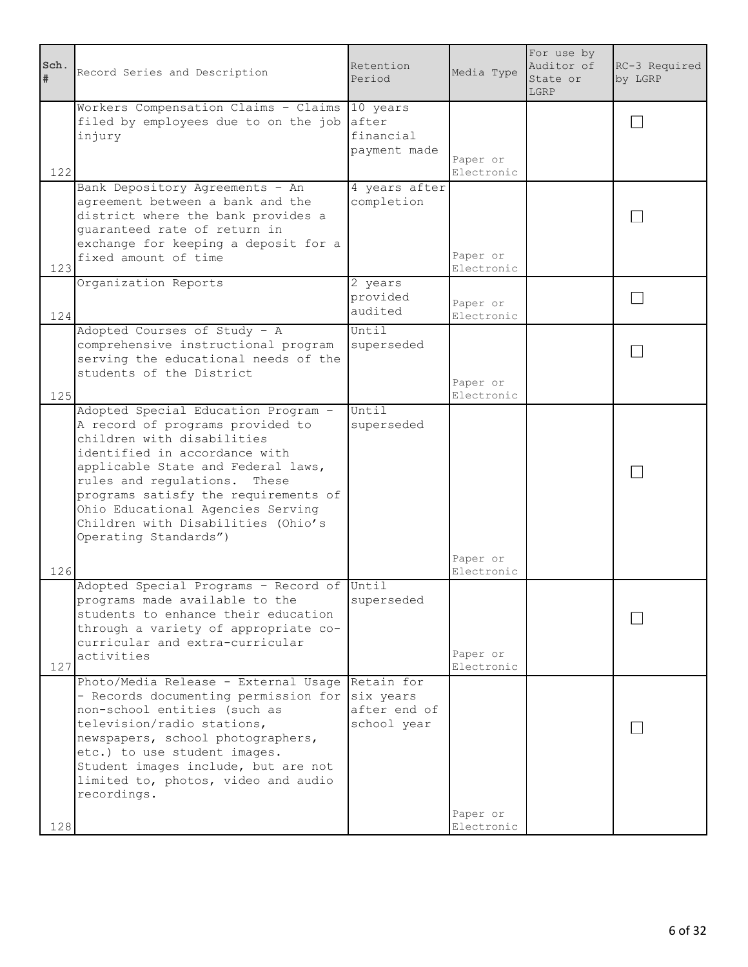| Sch.<br>#  | Record Series and Description                                                                                                                                                                                                                                                                                                                               | Retention<br>Period                      | Media Type                           | For use by<br>Auditor of<br>State or<br>LGRP | RC-3 Required<br>by LGRP |
|------------|-------------------------------------------------------------------------------------------------------------------------------------------------------------------------------------------------------------------------------------------------------------------------------------------------------------------------------------------------------------|------------------------------------------|--------------------------------------|----------------------------------------------|--------------------------|
| 122        | Workers Compensation Claims - Claims 10 years<br>filed by employees due to on the job<br>injury                                                                                                                                                                                                                                                             | after<br>financial<br>payment made       | Paper or<br>Electronic               |                                              |                          |
| 123        | Bank Depository Agreements - An<br>agreement between a bank and the<br>district where the bank provides a<br>quaranteed rate of return in<br>exchange for keeping a deposit for a<br>fixed amount of time                                                                                                                                                   | 4 years after<br>completion              | Paper or<br>Electronic               |                                              |                          |
| 124        | Organization Reports                                                                                                                                                                                                                                                                                                                                        | 2 years<br>provided<br>audited           | Paper or<br>Electronic               |                                              |                          |
| 125        | Adopted Courses of Study - A<br>comprehensive instructional program<br>serving the educational needs of the<br>students of the District                                                                                                                                                                                                                     | Until<br>superseded                      | Paper or<br>Electronic               |                                              |                          |
|            | Adopted Special Education Program -<br>A record of programs provided to<br>children with disabilities<br>identified in accordance with<br>applicable State and Federal laws,<br>rules and regulations.<br>These<br>programs satisfy the requirements of<br>Ohio Educational Agencies Serving<br>Children with Disabilities (Ohio's<br>Operating Standards") | Until<br>superseded                      | Paper or                             |                                              |                          |
| 126<br>127 | Adopted Special Programs - Record of Until<br>programs made available to the<br>students to enhance their education<br>through a variety of appropriate co-<br>curricular and extra-curricular<br>activities                                                                                                                                                | superseded                               | Electronic<br>Paper or<br>Electronic |                                              |                          |
| 128        | Photo/Media Release - External Usage Retain for<br>- Records documenting permission for<br>non-school entities (such as<br>television/radio stations,<br>newspapers, school photographers,<br>etc.) to use student images.<br>Student images include, but are not<br>limited to, photos, video and audio<br>recordings.                                     | six years<br>after end of<br>school year | Paper or<br>Electronic               |                                              |                          |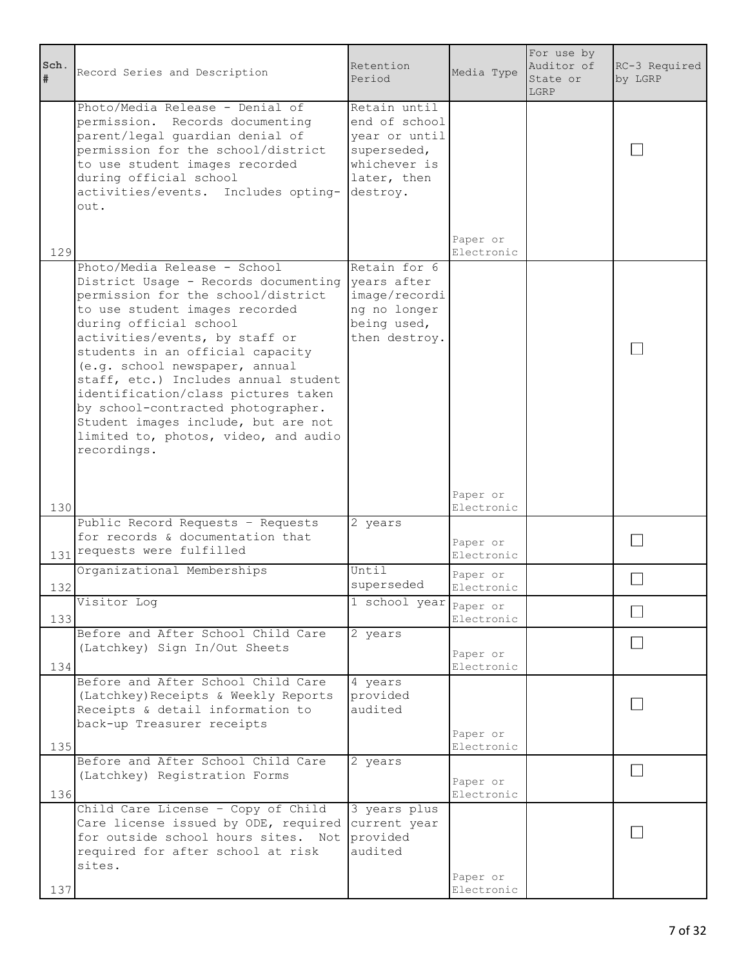| Sch.<br># | Record Series and Description                                                                                                                                                                                                                                                                                                                                                                                                                                                                     | Retention<br>Period                                                                                      | Media Type             | For use by<br>Auditor of<br>State or<br>LGRP | RC-3 Required<br>by LGRP |
|-----------|---------------------------------------------------------------------------------------------------------------------------------------------------------------------------------------------------------------------------------------------------------------------------------------------------------------------------------------------------------------------------------------------------------------------------------------------------------------------------------------------------|----------------------------------------------------------------------------------------------------------|------------------------|----------------------------------------------|--------------------------|
|           | Photo/Media Release - Denial of<br>permission. Records documenting<br>parent/legal guardian denial of<br>permission for the school/district<br>to use student images recorded<br>during official school<br>activities/events. Includes opting-<br>out.                                                                                                                                                                                                                                            | Retain until<br>end of school<br>year or until<br>superseded,<br>whichever is<br>later, then<br>destroy. | Paper or               |                                              |                          |
| 129       |                                                                                                                                                                                                                                                                                                                                                                                                                                                                                                   |                                                                                                          | Electronic             |                                              |                          |
|           | Photo/Media Release - School<br>District Usage - Records documenting<br>permission for the school/district<br>to use student images recorded<br>during official school<br>activities/events, by staff or<br>students in an official capacity<br>(e.g. school newspaper, annual<br>staff, etc.) Includes annual student<br>identification/class pictures taken<br>by school-contracted photographer.<br>Student images include, but are not<br>limited to, photos, video, and audio<br>recordings. | Retain for 6<br>years after<br>image/recordi<br>ng no longer<br>being used,<br>then destroy.             |                        |                                              |                          |
| 130       |                                                                                                                                                                                                                                                                                                                                                                                                                                                                                                   |                                                                                                          | Paper or<br>Electronic |                                              |                          |
|           | Public Record Requests - Requests<br>for records & documentation that<br>131 requests were fulfilled                                                                                                                                                                                                                                                                                                                                                                                              | 2 years                                                                                                  | Paper or<br>Electronic |                                              |                          |
| 132       | Organizational Memberships                                                                                                                                                                                                                                                                                                                                                                                                                                                                        | Until<br>superseded                                                                                      | Paper or<br>Electronic |                                              |                          |
|           | Visitor Log                                                                                                                                                                                                                                                                                                                                                                                                                                                                                       | 1 school year Paper or                                                                                   |                        |                                              |                          |
| 133       | Before and After School Child Care                                                                                                                                                                                                                                                                                                                                                                                                                                                                | 2 years                                                                                                  | Electronic             |                                              |                          |
| 134       | (Latchkey) Sign In/Out Sheets                                                                                                                                                                                                                                                                                                                                                                                                                                                                     |                                                                                                          | Paper or<br>Electronic |                                              |                          |
|           | Before and After School Child Care<br>(Latchkey) Receipts & Weekly Reports<br>Receipts & detail information to<br>back-up Treasurer receipts                                                                                                                                                                                                                                                                                                                                                      | 4 years<br>provided<br>audited                                                                           | Paper or               |                                              |                          |
| 135       |                                                                                                                                                                                                                                                                                                                                                                                                                                                                                                   |                                                                                                          | Electronic             |                                              |                          |
| 136       | Before and After School Child Care<br>(Latchkey) Registration Forms                                                                                                                                                                                                                                                                                                                                                                                                                               | 2 years                                                                                                  | Paper or<br>Electronic |                                              |                          |
| 137       | Child Care License - Copy of Child<br>Care license issued by ODE, required<br>for outside school hours sites. Not<br>required for after school at risk<br>sites.                                                                                                                                                                                                                                                                                                                                  | 3 years plus<br>current year<br>provided<br>audited                                                      | Paper or<br>Electronic |                                              |                          |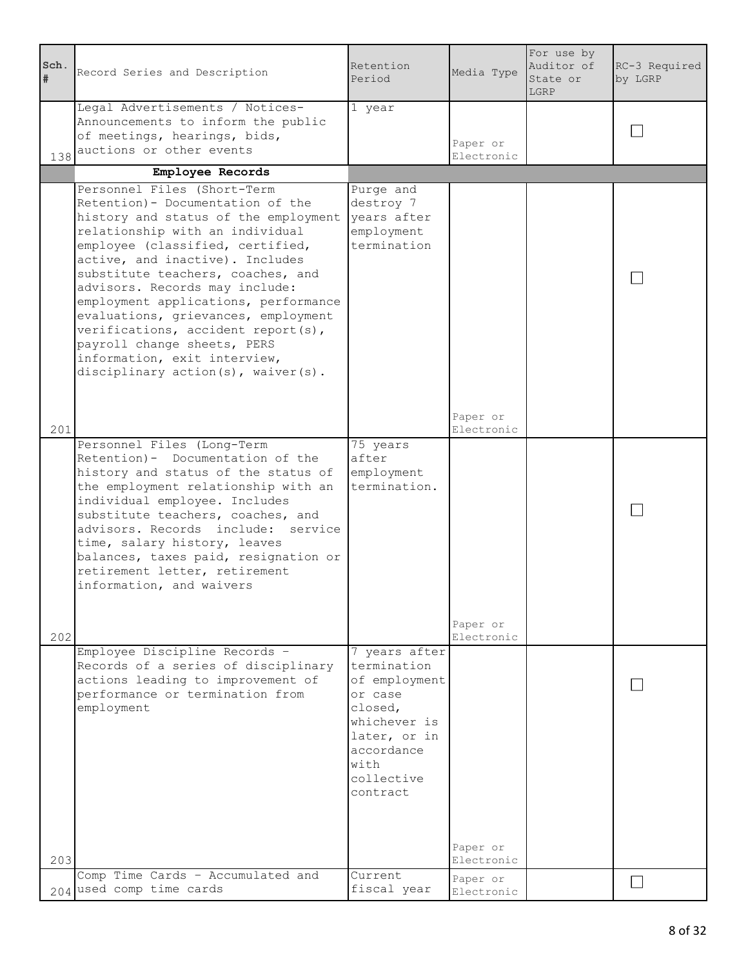| Sch.<br>#  | Record Series and Description                                                                                                                                                                                                                                                                                                                                                                                                                                                                                       | Retention<br>Period                                                                                                                                 | Media Type                           | For use by<br>Auditor of<br>State or<br>LGRP | RC-3 Required<br>by LGRP |
|------------|---------------------------------------------------------------------------------------------------------------------------------------------------------------------------------------------------------------------------------------------------------------------------------------------------------------------------------------------------------------------------------------------------------------------------------------------------------------------------------------------------------------------|-----------------------------------------------------------------------------------------------------------------------------------------------------|--------------------------------------|----------------------------------------------|--------------------------|
|            | Legal Advertisements / Notices-<br>Announcements to inform the public<br>of meetings, hearings, bids,<br>138 auctions or other events                                                                                                                                                                                                                                                                                                                                                                               | 1 year                                                                                                                                              | Paper or<br>Electronic               |                                              |                          |
|            | Employee Records                                                                                                                                                                                                                                                                                                                                                                                                                                                                                                    |                                                                                                                                                     |                                      |                                              |                          |
|            | Personnel Files (Short-Term<br>Retention) - Documentation of the<br>history and status of the employment<br>relationship with an individual<br>employee (classified, certified,<br>active, and inactive). Includes<br>substitute teachers, coaches, and<br>advisors. Records may include:<br>employment applications, performance<br>evaluations, grievances, employment<br>verifications, accident report(s),<br>payroll change sheets, PERS<br>information, exit interview,<br>disciplinary action(s), waiver(s). | Purge and<br>destroy 7<br>years after<br>employment<br>termination                                                                                  |                                      |                                              |                          |
|            |                                                                                                                                                                                                                                                                                                                                                                                                                                                                                                                     |                                                                                                                                                     | Paper or                             |                                              |                          |
| 201<br>202 | Personnel Files (Long-Term<br>Retention) - Documentation of the<br>history and status of the status of<br>the employment relationship with an<br>individual employee. Includes<br>substitute teachers, coaches, and<br>advisors. Records include: service<br>time, salary history, leaves<br>balances, taxes paid, resignation or<br>retirement letter, retirement<br>information, and waivers                                                                                                                      | 75 years<br>after<br>employment<br>termination.                                                                                                     | Electronic<br>Paper or<br>Electronic |                                              |                          |
| 203        | Employee Discipline Records -<br>Records of a series of disciplinary<br>actions leading to improvement of<br>performance or termination from<br>employment                                                                                                                                                                                                                                                                                                                                                          | 7 years after<br>termination<br>of employment<br>or case<br>closed,<br>whichever is<br>later, or in<br>accordance<br>with<br>collective<br>contract | Paper or<br>Electronic               |                                              |                          |
|            | Comp Time Cards - Accumulated and<br>204 used comp time cards                                                                                                                                                                                                                                                                                                                                                                                                                                                       | Current<br>fiscal year                                                                                                                              | Paper or<br>Electronic               |                                              |                          |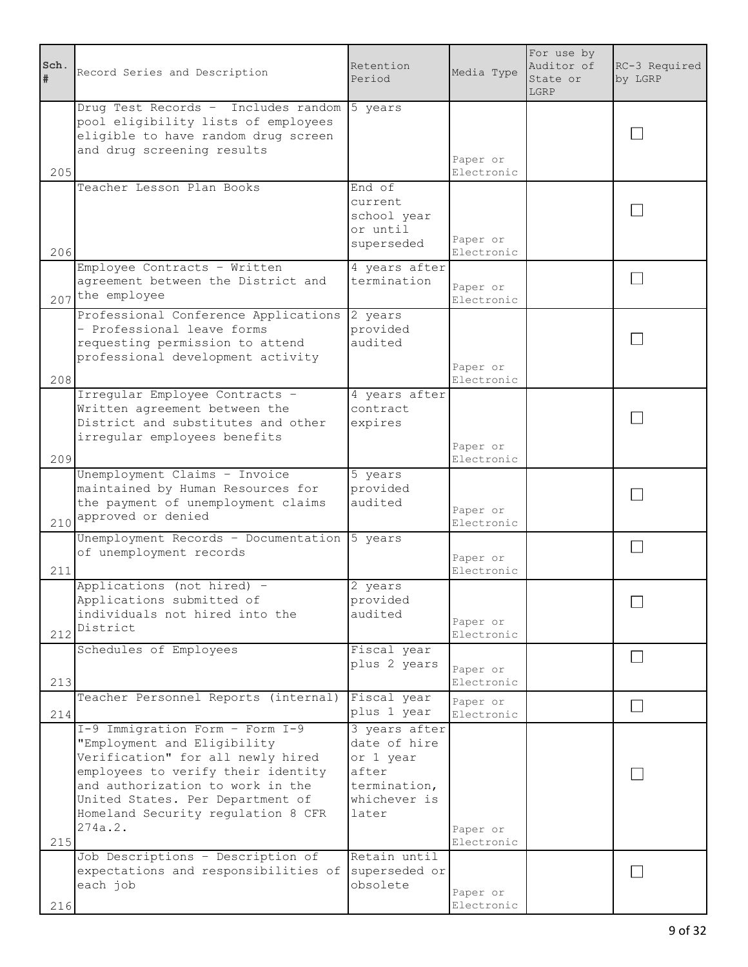| Sch.<br># | Record Series and Description                                                                                                                                                                                                                                      | Retention<br>Period                                                                          | Media Type             | For use by<br>Auditor of<br>State or<br>LGRP | RC-3 Required<br>by LGRP |
|-----------|--------------------------------------------------------------------------------------------------------------------------------------------------------------------------------------------------------------------------------------------------------------------|----------------------------------------------------------------------------------------------|------------------------|----------------------------------------------|--------------------------|
| 205       | Drug Test Records - Includes random<br>pool eligibility lists of employees<br>eligible to have random drug screen<br>and drug screening results                                                                                                                    | 5 years                                                                                      | Paper or<br>Electronic |                                              |                          |
| 206       | Teacher Lesson Plan Books                                                                                                                                                                                                                                          | End of<br>current<br>school year<br>or until<br>superseded                                   | Paper or<br>Electronic |                                              |                          |
|           | Employee Contracts - Written<br>agreement between the District and<br>207 the employee                                                                                                                                                                             | 4 years after<br>termination                                                                 | Paper or<br>Electronic |                                              |                          |
| 208       | Professional Conference Applications<br>- Professional leave forms<br>requesting permission to attend<br>professional development activity                                                                                                                         | 2 years<br>provided<br>audited                                                               | Paper or<br>Electronic |                                              |                          |
| 209       | Irregular Employee Contracts -<br>Written agreement between the<br>District and substitutes and other<br>irregular employees benefits                                                                                                                              | 4 years after<br>contract<br>expires                                                         | Paper or<br>Electronic |                                              |                          |
|           | Unemployment Claims - Invoice<br>maintained by Human Resources for<br>the payment of unemployment claims<br>210 approved or denied                                                                                                                                 | 5 years<br>provided<br>audited                                                               | Paper or<br>Electronic |                                              |                          |
| 211       | Unemployment Records - Documentation<br>of unemployment records                                                                                                                                                                                                    | 5 years                                                                                      | Paper or<br>Electronic |                                              |                          |
|           | Applications (not hired) -<br>Applications submitted of<br>individuals not hired into the<br>$212$ District                                                                                                                                                        | 2 years<br>provided<br>audited                                                               | Paper or<br>Electronic |                                              |                          |
| 213       | Schedules of Employees                                                                                                                                                                                                                                             | Fiscal year<br>plus 2 years                                                                  | Paper or<br>Electronic |                                              |                          |
| 214       | Teacher Personnel Reports (internal)                                                                                                                                                                                                                               | Fiscal year<br>plus 1 year                                                                   | Paper or<br>Electronic |                                              |                          |
| 215       | I-9 Immigration Form - Form I-9<br>"Employment and Eligibility<br>Verification" for all newly hired<br>employees to verify their identity<br>and authorization to work in the<br>United States. Per Department of<br>Homeland Security regulation 8 CFR<br>274a.2. | 3 years after<br>date of hire<br>or 1 year<br>after<br>termination,<br>whichever is<br>later | Paper or<br>Electronic |                                              |                          |
| 216       | Job Descriptions - Description of<br>expectations and responsibilities of<br>each job                                                                                                                                                                              | Retain until<br>superseded or<br>obsolete                                                    | Paper or<br>Electronic |                                              |                          |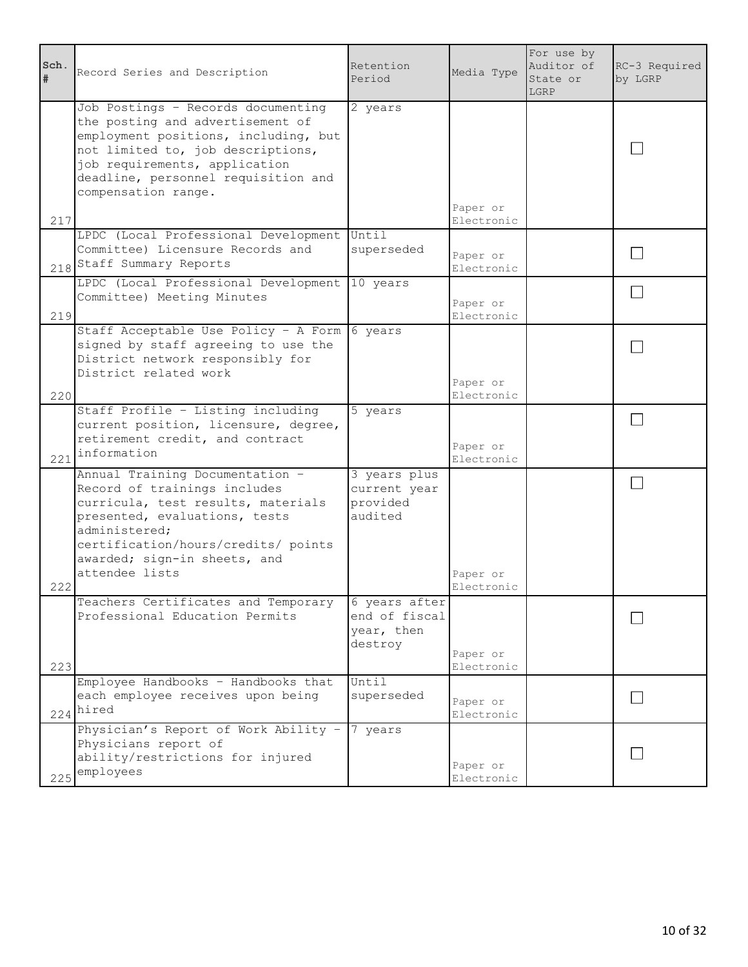| Sch.<br># | Record Series and Description                                                                                                                                                                                                                      | Retention<br>Period                                     | Media Type             | For use by<br>Auditor of<br>State or<br>LGRP | RC-3 Required<br>by LGRP |
|-----------|----------------------------------------------------------------------------------------------------------------------------------------------------------------------------------------------------------------------------------------------------|---------------------------------------------------------|------------------------|----------------------------------------------|--------------------------|
| 217       | Job Postings - Records documenting<br>the posting and advertisement of<br>employment positions, including, but<br>not limited to, job descriptions,<br>job requirements, application<br>deadline, personnel requisition and<br>compensation range. | 2 years                                                 | Paper or<br>Electronic |                                              |                          |
|           | LPDC (Local Professional Development<br>Committee) Licensure Records and<br>218 Staff Summary Reports                                                                                                                                              | Until<br>superseded                                     | Paper or<br>Electronic |                                              |                          |
| 219       | LPDC (Local Professional Development 10 years<br>Committee) Meeting Minutes                                                                                                                                                                        |                                                         | Paper or<br>Electronic |                                              |                          |
| 220       | Staff Acceptable Use Policy - A Form 6 years<br>signed by staff agreeing to use the<br>District network responsibly for<br>District related work                                                                                                   |                                                         | Paper or<br>Electronic |                                              |                          |
| 221       | Staff Profile - Listing including<br>current position, licensure, degree,<br>retirement credit, and contract<br>information                                                                                                                        | 5 years                                                 | Paper or<br>Electronic |                                              |                          |
| 222       | Annual Training Documentation -<br>Record of trainings includes<br>curricula, test results, materials<br>presented, evaluations, tests<br>administered;<br>certification/hours/credits/ points<br>awarded; sign-in sheets, and<br>attendee lists   | 3 years plus<br>current year<br>provided<br>audited     | Paper or<br>Electronic |                                              |                          |
| 223       | Teachers Certificates and Temporary<br>Professional Education Permits                                                                                                                                                                              | 6 years after<br>end of fiscal<br>year, then<br>destroy | Paper or<br>Electronic |                                              |                          |
|           | Employee Handbooks - Handbooks that<br>each employee receives upon being<br>$224$ <sup>hired</sup>                                                                                                                                                 | Until<br>superseded                                     | Paper or<br>Electronic |                                              |                          |
| 225       | Physician's Report of Work Ability -<br>Physicians report of<br>ability/restrictions for injured<br>employees                                                                                                                                      | 7 years                                                 | Paper or<br>Electronic |                                              |                          |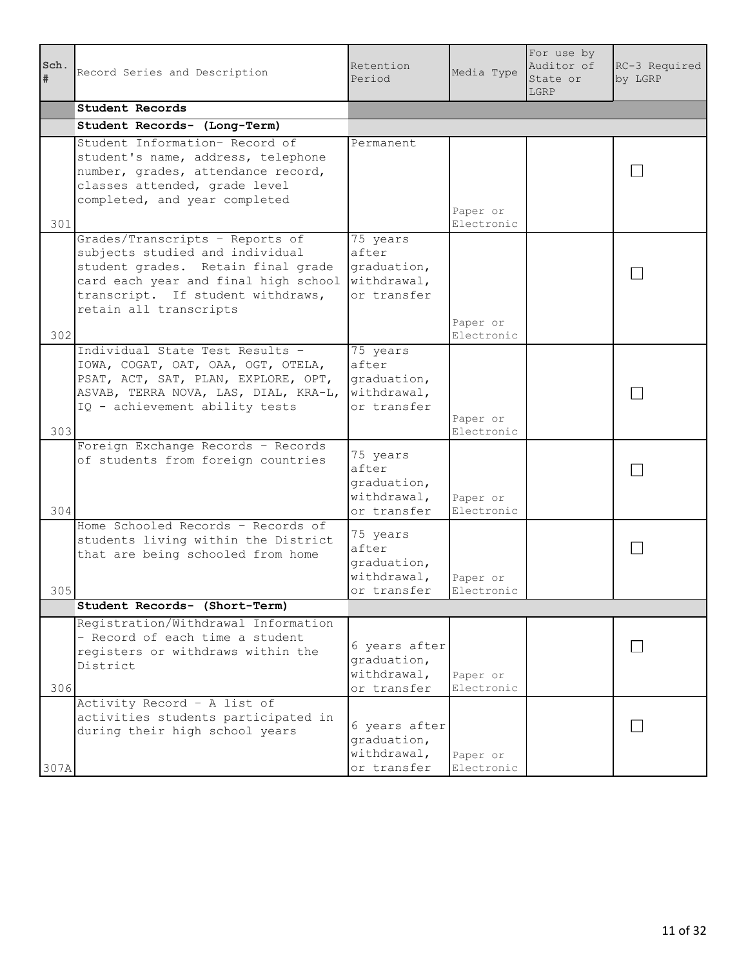| Sch.<br>$\pmb{\ast}$ | Record Series and Description                                                                                                                                                                                   | Retention<br>Period                                            | Media Type             | For use by<br>Auditor of<br>State or<br>LGRP | RC-3 Required<br>by LGRP |
|----------------------|-----------------------------------------------------------------------------------------------------------------------------------------------------------------------------------------------------------------|----------------------------------------------------------------|------------------------|----------------------------------------------|--------------------------|
|                      | Student Records                                                                                                                                                                                                 |                                                                |                        |                                              |                          |
|                      | Student Records- (Long-Term)                                                                                                                                                                                    |                                                                |                        |                                              |                          |
| 301                  | Student Information- Record of<br>student's name, address, telephone<br>number, grades, attendance record,<br>classes attended, grade level<br>completed, and year completed                                    | Permanent                                                      | Paper or<br>Electronic |                                              |                          |
| 302                  | Grades/Transcripts - Reports of<br>subjects studied and individual<br>student grades. Retain final grade<br>card each year and final high school<br>transcript. If student withdraws,<br>retain all transcripts | 75 years<br>after<br>graduation,<br>withdrawal,<br>or transfer | Paper or<br>Electronic |                                              |                          |
| 303                  | Individual State Test Results -<br>IOWA, COGAT, OAT, OAA, OGT, OTELA,<br>PSAT, ACT, SAT, PLAN, EXPLORE, OPT,<br>ASVAB, TERRA NOVA, LAS, DIAL, KRA-L,<br>IQ - achievement ability tests                          | 75 years<br>after<br>graduation,<br>withdrawal,<br>or transfer | Paper or<br>Electronic |                                              |                          |
| 304                  | Foreign Exchange Records - Records<br>of students from foreign countries                                                                                                                                        | 75 years<br>after<br>graduation,<br>withdrawal,<br>or transfer | Paper or<br>Electronic |                                              |                          |
| 305                  | Home Schooled Records - Records of<br>students living within the District<br>that are being schooled from home                                                                                                  | 75 years<br>after<br>graduation,<br>withdrawal,<br>or transfer | Paper or<br>Electronic |                                              |                          |
|                      | Student Records- (Short-Term)                                                                                                                                                                                   |                                                                |                        |                                              |                          |
| 306                  | Registration/Withdrawal Information<br>- Record of each time a student<br>registers or withdraws within the<br>District                                                                                         | 6 years after<br>graduation,<br>withdrawal,<br>or transfer     | Paper or<br>Electronic |                                              |                          |
| 307A                 | Activity Record - A list of<br>activities students participated in<br>during their high school years                                                                                                            | 6 years after<br>graduation,<br>withdrawal,<br>or transfer     | Paper or<br>Electronic |                                              |                          |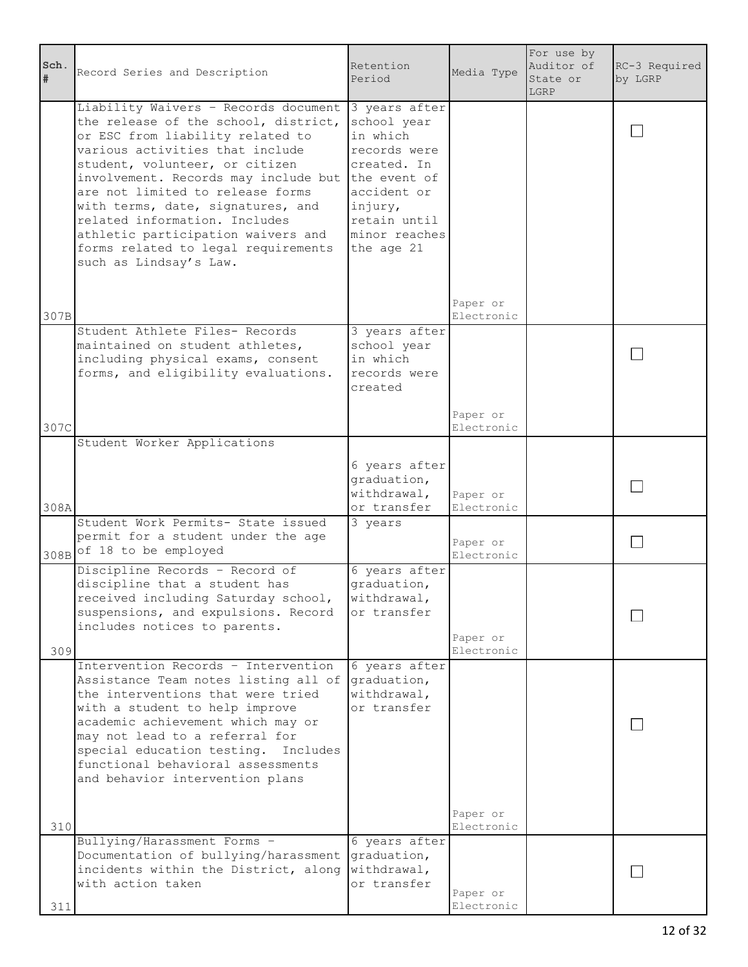| Sch.<br># | Record Series and Description                                                                                                                                                                                                                                                                                                                                                                                                                  | Retention<br>Period                                                                                                                                              | Media Type             | For use by<br>Auditor of<br>State or<br>LGRP | RC-3 Required<br>by LGRP |
|-----------|------------------------------------------------------------------------------------------------------------------------------------------------------------------------------------------------------------------------------------------------------------------------------------------------------------------------------------------------------------------------------------------------------------------------------------------------|------------------------------------------------------------------------------------------------------------------------------------------------------------------|------------------------|----------------------------------------------|--------------------------|
|           | Liability Waivers - Records document<br>the release of the school, district,<br>or ESC from liability related to<br>various activities that include<br>student, volunteer, or citizen<br>involvement. Records may include but<br>are not limited to release forms<br>with terms, date, signatures, and<br>related information. Includes<br>athletic participation waivers and<br>forms related to legal requirements<br>such as Lindsay's Law. | 3 years after<br>school year<br>in which<br>records were<br>created. In<br>the event of<br>accident or<br>injury,<br>retain until<br>minor reaches<br>the age 21 |                        |                                              |                          |
| 307B      |                                                                                                                                                                                                                                                                                                                                                                                                                                                |                                                                                                                                                                  | Paper or<br>Electronic |                                              |                          |
|           | Student Athlete Files- Records<br>maintained on student athletes,<br>including physical exams, consent<br>forms, and eligibility evaluations.                                                                                                                                                                                                                                                                                                  | 3 years after<br>school year<br>in which<br>records were<br>created                                                                                              |                        |                                              |                          |
| 307C      |                                                                                                                                                                                                                                                                                                                                                                                                                                                |                                                                                                                                                                  | Paper or<br>Electronic |                                              |                          |
|           | Student Worker Applications                                                                                                                                                                                                                                                                                                                                                                                                                    |                                                                                                                                                                  |                        |                                              |                          |
| 308A      |                                                                                                                                                                                                                                                                                                                                                                                                                                                | 6 years after<br>graduation,<br>withdrawal,<br>or transfer                                                                                                       | Paper or<br>Electronic |                                              |                          |
|           | Student Work Permits- State issued<br>permit for a student under the age<br>308B of 18 to be employed                                                                                                                                                                                                                                                                                                                                          | 3 years                                                                                                                                                          | Paper or<br>Electronic |                                              |                          |
| 309       | Discipline Records - Record of<br>discipline that a student has<br>received including Saturday school,<br>suspensions, and expulsions. Record<br>includes notices to parents.                                                                                                                                                                                                                                                                  | 6 years after<br>graduation,<br>withdrawal,<br>or transfer                                                                                                       | Paper or<br>Electronic |                                              |                          |
|           | Intervention Records - Intervention<br>Assistance Team notes listing all of<br>the interventions that were tried<br>with a student to help improve<br>academic achievement which may or<br>may not lead to a referral for<br>special education testing.<br>Includes<br>functional behavioral assessments<br>and behavior intervention plans                                                                                                    | 6 years after<br>graduation,<br>withdrawal,<br>or transfer                                                                                                       | Paper or               |                                              |                          |
| 310       | Bullying/Harassment Forms -                                                                                                                                                                                                                                                                                                                                                                                                                    | 6 years after                                                                                                                                                    | Electronic             |                                              |                          |
| 311       | Documentation of bullying/harassment<br>incidents within the District, along<br>with action taken                                                                                                                                                                                                                                                                                                                                              | graduation,<br>withdrawal,<br>or transfer                                                                                                                        | Paper or<br>Electronic |                                              |                          |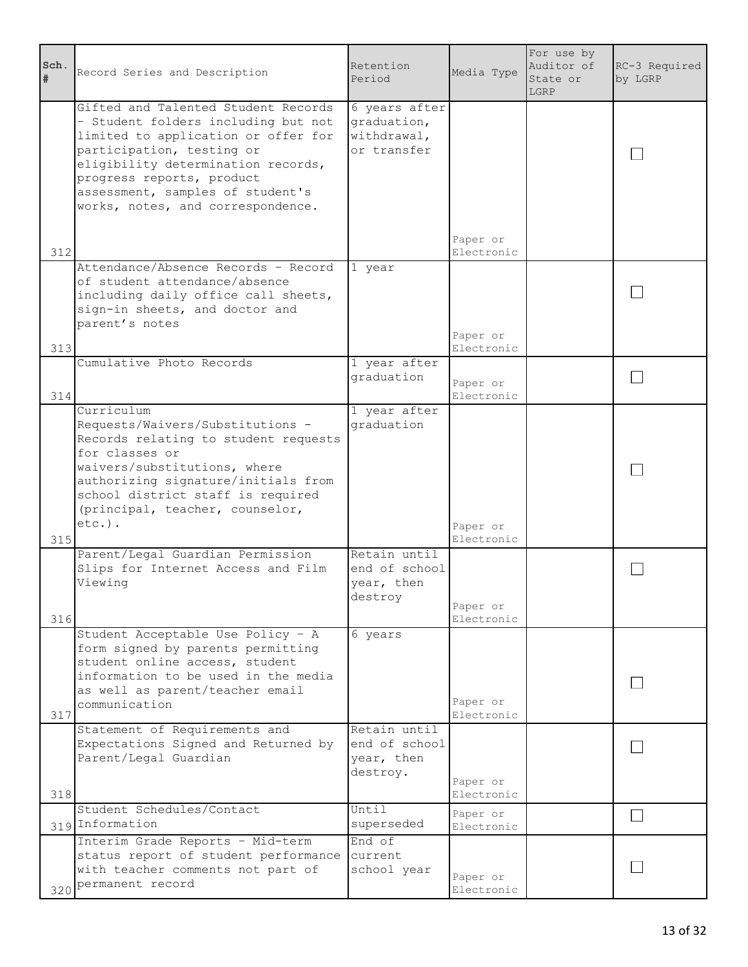| Sch.<br># | Record Series and Description                                                                                                                                                                                                                                                              | Retention<br>Period                                        | Media Type                           | For use by<br>Auditor of<br>State or<br>LGRP | RC-3 Required<br>by LGRP |
|-----------|--------------------------------------------------------------------------------------------------------------------------------------------------------------------------------------------------------------------------------------------------------------------------------------------|------------------------------------------------------------|--------------------------------------|----------------------------------------------|--------------------------|
|           | Gifted and Talented Student Records<br>- Student folders including but not<br>limited to application or offer for<br>participation, testing or<br>eligibility determination records,<br>progress reports, product<br>assessment, samples of student's<br>works, notes, and correspondence. | 6 years after<br>graduation,<br>withdrawal,<br>or transfer |                                      |                                              |                          |
| 312       |                                                                                                                                                                                                                                                                                            |                                                            | Paper or<br>Electronic               |                                              |                          |
|           | Attendance/Absence Records - Record<br>of student attendance/absence<br>including daily office call sheets,<br>sign-in sheets, and doctor and<br>parent's notes                                                                                                                            | 1 year                                                     | Paper or<br>Electronic               |                                              |                          |
| 313       | Cumulative Photo Records                                                                                                                                                                                                                                                                   | 1 year after                                               |                                      |                                              |                          |
| 314       |                                                                                                                                                                                                                                                                                            | graduation                                                 | Paper or<br>Electronic               |                                              |                          |
|           | Curriculum<br>Requests/Waivers/Substitutions -<br>Records relating to student requests<br>for classes or<br>waivers/substitutions, where<br>authorizing signature/initials from<br>school district staff is required<br>(principal, teacher, counselor,<br>$etc.$ ).                       | 1 year after<br>graduation                                 |                                      |                                              |                          |
| 315       |                                                                                                                                                                                                                                                                                            |                                                            | Paper or<br>Electronic               |                                              |                          |
| 316       | Parent/Legal Guardian Permission<br>Slips for Internet Access and Film<br>Viewing                                                                                                                                                                                                          | Retain until<br>end of school<br>year, then<br>destroy     | Paper or<br>Electronic               |                                              |                          |
| 317       | Student Acceptable Use Policy - A<br>form signed by parents permitting<br>student online access, student<br>information to be used in the media<br>as well as parent/teacher email<br>communication                                                                                        | 6 years                                                    | Paper or<br>Electronic               |                                              |                          |
| 318       | Statement of Requirements and<br>Expectations Signed and Returned by<br>Parent/Legal Guardian                                                                                                                                                                                              | Retain until<br>end of school<br>year, then<br>destroy.    | Paper or<br>Electronic               |                                              |                          |
|           | Student Schedules/Contact<br>319 Information                                                                                                                                                                                                                                               | Until<br>superseded                                        | Paper or                             |                                              |                          |
|           | Interim Grade Reports - Mid-term<br>status report of student performance<br>with teacher comments not part of<br>320 Permanent record                                                                                                                                                      | End of<br>current<br>school year                           | Electronic<br>Paper or<br>Electronic |                                              |                          |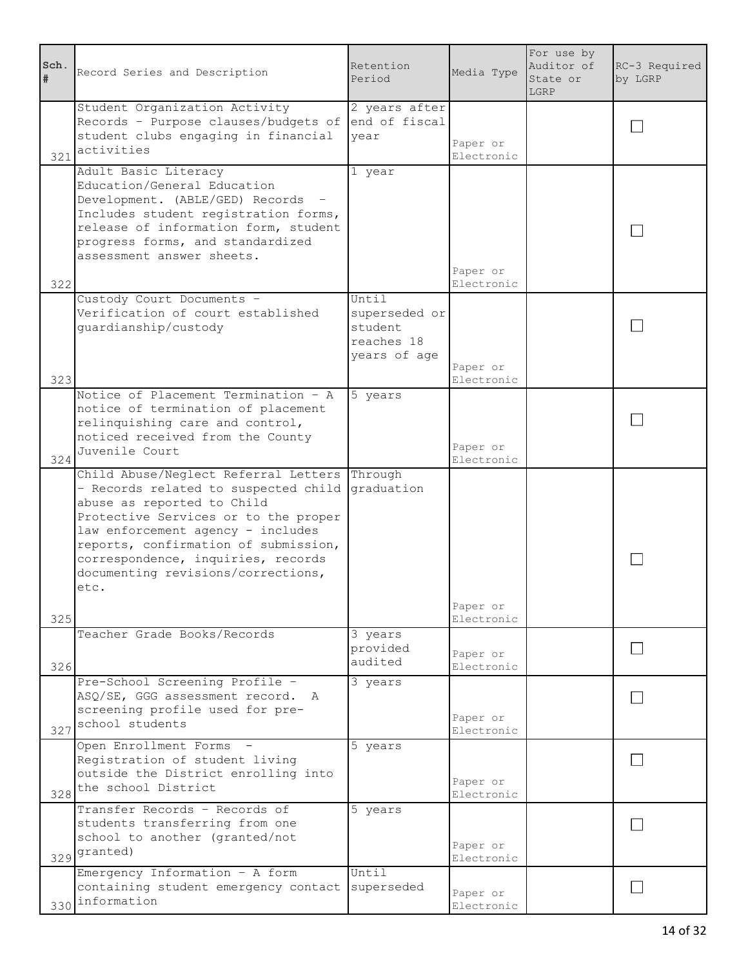| Sch.<br>#  | Record Series and Description                                                                                                                                                                                                                                                                                               | Retention<br>Period                                             | Media Type                           | For use by<br>Auditor of<br>State or<br>LGRP | RC-3 Required<br>by LGRP |
|------------|-----------------------------------------------------------------------------------------------------------------------------------------------------------------------------------------------------------------------------------------------------------------------------------------------------------------------------|-----------------------------------------------------------------|--------------------------------------|----------------------------------------------|--------------------------|
| 321        | Student Organization Activity<br>Records - Purpose clauses/budgets of end of fiscal<br>student clubs engaging in financial<br>activities                                                                                                                                                                                    | 2 years after<br>year                                           | Paper or<br>Electronic               |                                              |                          |
| 322        | Adult Basic Literacy<br>Education/General Education<br>Development. (ABLE/GED) Records<br>Includes student registration forms,<br>release of information form, student<br>progress forms, and standardized<br>assessment answer sheets.                                                                                     | 1 year                                                          | Paper or<br>Electronic               |                                              |                          |
| 323        | Custody Court Documents -<br>Verification of court established<br>guardianship/custody                                                                                                                                                                                                                                      | Until<br>superseded or<br>student<br>reaches 18<br>years of age | Paper or<br>Electronic               |                                              |                          |
| 324        | Notice of Placement Termination - A<br>notice of termination of placement<br>relinquishing care and control,<br>noticed received from the County<br>Juvenile Court                                                                                                                                                          | 5 years                                                         | Paper or<br>Electronic               |                                              |                          |
|            | Child Abuse/Neglect Referral Letters Through<br>- Records related to suspected child<br>abuse as reported to Child<br>Protective Services or to the proper<br>law enforcement agency - includes<br>reports, confirmation of submission,<br>correspondence, inquiries, records<br>documenting revisions/corrections,<br>etc. | graduation                                                      | Paper or                             |                                              |                          |
| 325<br>326 | Teacher Grade Books/Records                                                                                                                                                                                                                                                                                                 | 3 years<br>provided<br>audited                                  | Electronic<br>Paper or<br>Electronic |                                              |                          |
| 327        | Pre-School Screening Profile -<br>ASQ/SE, GGG assessment record. A<br>screening profile used for pre-<br>school students                                                                                                                                                                                                    | 3 years                                                         | Paper or<br>Electronic               |                                              |                          |
|            | Open Enrollment Forms -<br>Registration of student living<br>outside the District enrolling into<br>328 the school District                                                                                                                                                                                                 | 5 years                                                         | Paper or<br>Electronic               |                                              |                          |
|            | Transfer Records - Records of<br>students transferring from one<br>school to another (granted/not<br>329 granted)                                                                                                                                                                                                           | 5 years                                                         | Paper or<br>Electronic               |                                              |                          |
|            | Emergency Information $-$ A form<br>containing student emergency contact<br>330 information                                                                                                                                                                                                                                 | Until<br>superseded                                             | Paper or<br>Electronic               |                                              |                          |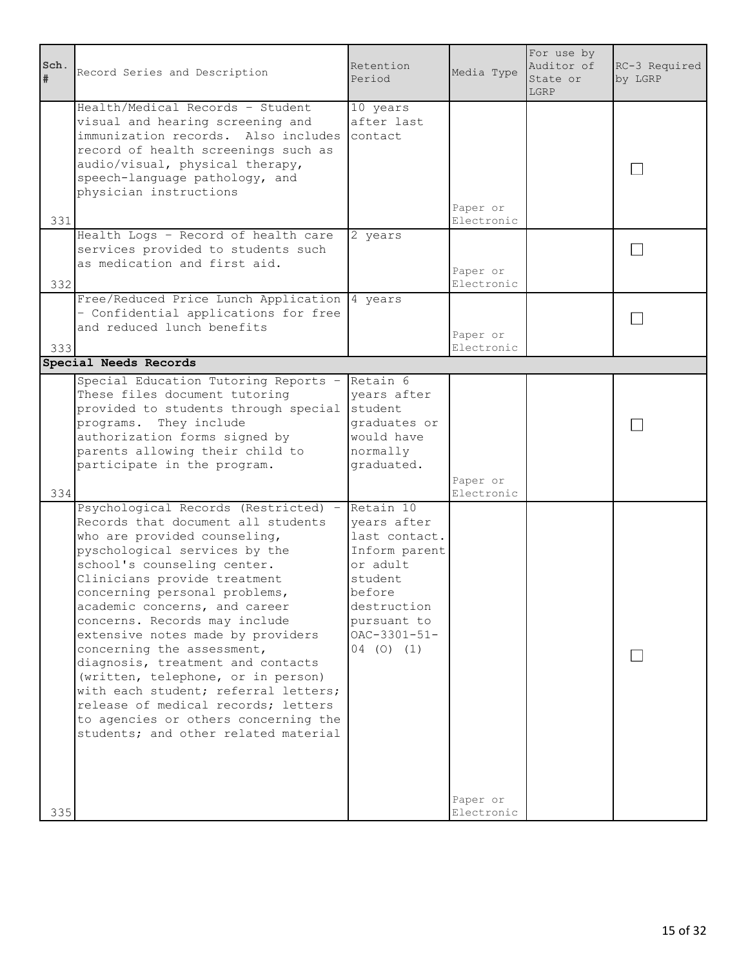| Sch.<br># | Record Series and Description                                                                                                                                                                                                                                                                                                                                                                                                                                                                                                                                                                                              | Retention<br>Period                                                                                                                                              | Media Type             | For use by<br>Auditor of<br>State or<br>LGRP | RC-3 Required<br>by LGRP |
|-----------|----------------------------------------------------------------------------------------------------------------------------------------------------------------------------------------------------------------------------------------------------------------------------------------------------------------------------------------------------------------------------------------------------------------------------------------------------------------------------------------------------------------------------------------------------------------------------------------------------------------------------|------------------------------------------------------------------------------------------------------------------------------------------------------------------|------------------------|----------------------------------------------|--------------------------|
| 331       | Health/Medical Records - Student<br>visual and hearing screening and<br>immunization records. Also includes<br>record of health screenings such as<br>audio/visual, physical therapy,<br>speech-language pathology, and<br>physician instructions                                                                                                                                                                                                                                                                                                                                                                          | 10 years<br>after last<br>contact                                                                                                                                | Paper or<br>Electronic |                                              |                          |
| 332       | Health Logs - Record of health care<br>services provided to students such<br>as medication and first aid.                                                                                                                                                                                                                                                                                                                                                                                                                                                                                                                  | 2 years                                                                                                                                                          | Paper or<br>Electronic |                                              |                          |
| 333       | Free/Reduced Price Lunch Application  4 years<br>- Confidential applications for free<br>and reduced lunch benefits                                                                                                                                                                                                                                                                                                                                                                                                                                                                                                        |                                                                                                                                                                  | Paper or<br>Electronic |                                              |                          |
|           | Special Needs Records                                                                                                                                                                                                                                                                                                                                                                                                                                                                                                                                                                                                      |                                                                                                                                                                  |                        |                                              |                          |
|           | Special Education Tutoring Reports -<br>These files document tutoring<br>provided to students through special<br>programs. They include<br>authorization forms signed by<br>parents allowing their child to<br>participate in the program.                                                                                                                                                                                                                                                                                                                                                                                 | Retain 6<br>years after<br>student<br>graduates or<br>would have<br>normally<br>graduated.                                                                       | Paper or               |                                              |                          |
| 334       |                                                                                                                                                                                                                                                                                                                                                                                                                                                                                                                                                                                                                            |                                                                                                                                                                  | Electronic             |                                              |                          |
| 335       | Psychological Records (Restricted) -<br>Records that document all students<br>who are provided counseling,<br>pyschological services by the<br>school's counseling center.<br>Clinicians provide treatment<br>concerning personal problems,<br>academic concerns, and career<br>concerns. Records may include<br>extensive notes made by providers<br>concerning the assessment,<br>diagnosis, treatment and contacts<br>(written, telephone, or in person)<br>with each student; referral letters;<br>release of medical records; letters<br>to agencies or others concerning the<br>students; and other related material | Retain 10<br>years after<br>last contact.<br>Inform parent<br>or adult<br>student<br>before<br>destruction<br>pursuant to<br>$OAC - 3301 - 51 -$<br>$04$ (0) (1) | Paper or<br>Electronic |                                              |                          |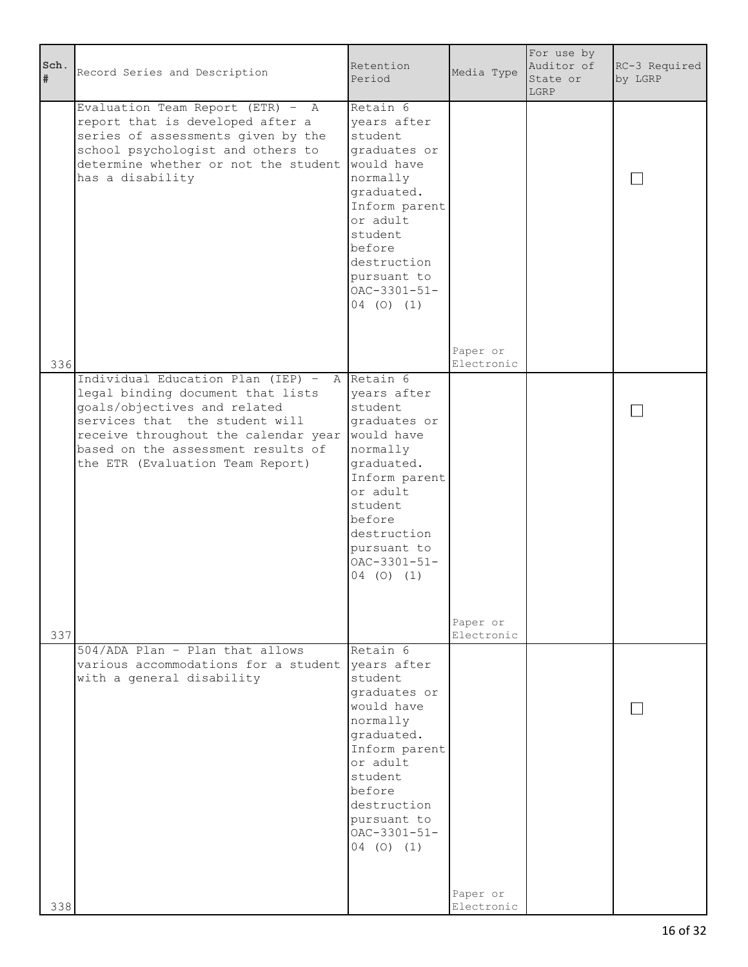| Sch.<br># | Record Series and Description                                                                                                                                                                                                                                         | Retention<br>Period                                                                                                                                                                                               | Media Type             | For use by<br>Auditor of<br>State or<br>LGRP | RC-3 Required<br>by LGRP |
|-----------|-----------------------------------------------------------------------------------------------------------------------------------------------------------------------------------------------------------------------------------------------------------------------|-------------------------------------------------------------------------------------------------------------------------------------------------------------------------------------------------------------------|------------------------|----------------------------------------------|--------------------------|
|           | Evaluation Team Report (ETR) - A<br>report that is developed after a<br>series of assessments given by the<br>school psychologist and others to<br>determine whether or not the student<br>has a disability                                                           | Retain 6<br>years after<br>student<br>graduates or<br>would have<br>normally<br>graduated.<br>Inform parent<br>or adult<br>student<br>before<br>destruction<br>pursuant to<br>$OAC - 3301 - 51 -$<br>$04$ (0) (1) |                        |                                              |                          |
| 336       |                                                                                                                                                                                                                                                                       |                                                                                                                                                                                                                   | Paper or<br>Electronic |                                              |                          |
|           | Individual Education Plan (IEP) - A Retain 6<br>legal binding document that lists<br>goals/objectives and related<br>services that the student will<br>receive throughout the calendar year<br>based on the assessment results of<br>the ETR (Evaluation Team Report) | years after<br>student<br>graduates or<br>would have<br>normally<br>graduated.<br>Inform parent<br>or adult<br>student<br>before<br>destruction<br>pursuant to<br>$OAC - 3301 - 51 -$<br>$04$ (0) (1)             | Paper or               |                                              |                          |
| 337       | 504/ADA Plan - Plan that allows                                                                                                                                                                                                                                       | Retain 6                                                                                                                                                                                                          | Electronic             |                                              |                          |
|           | various accommodations for a student<br>with a general disability                                                                                                                                                                                                     | years after<br>student<br>graduates or<br>would have<br>normally<br>graduated.<br>Inform parent<br>or adult<br>student<br>before<br>destruction<br>pursuant to<br>$OAC - 3301 - 51 -$<br>$04$ (0) (1)             |                        |                                              |                          |
| 338       |                                                                                                                                                                                                                                                                       |                                                                                                                                                                                                                   | Paper or<br>Electronic |                                              |                          |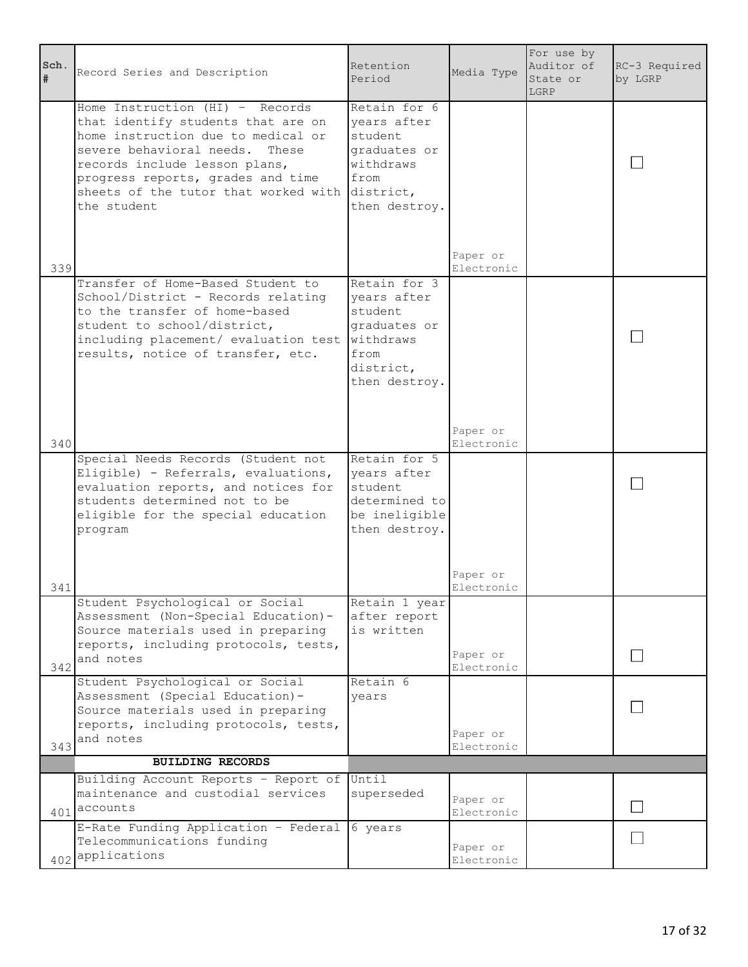| Sch.<br># | Record Series and Description                                                                                                                                                                                                                                                | Retention<br>Period                                                                                       | Media Type             | For use by<br>Auditor of<br>State or<br>LGRP | RC-3 Required<br>by LGRP |
|-----------|------------------------------------------------------------------------------------------------------------------------------------------------------------------------------------------------------------------------------------------------------------------------------|-----------------------------------------------------------------------------------------------------------|------------------------|----------------------------------------------|--------------------------|
| 339       | Home Instruction $(HI)$ - Records<br>that identify students that are on<br>home instruction due to medical or<br>severe behavioral needs. These<br>records include lesson plans,<br>progress reports, grades and time<br>sheets of the tutor that worked with<br>the student | Retain for 6<br>years after<br>student<br>graduates or<br>withdraws<br>from<br>district,<br>then destroy. | Paper or<br>Electronic |                                              |                          |
|           | Transfer of Home-Based Student to<br>School/District - Records relating<br>to the transfer of home-based<br>student to school/district,<br>including placement/ evaluation test<br>results, notice of transfer, etc.                                                         | Retain for 3<br>years after<br>student<br>graduates or<br>withdraws<br>from<br>district,<br>then destroy. |                        |                                              |                          |
| 340       |                                                                                                                                                                                                                                                                              |                                                                                                           | Paper or<br>Electronic |                                              |                          |
| 341       | Special Needs Records (Student not<br>Eligible) - Referrals, evaluations,<br>evaluation reports, and notices for<br>students determined not to be<br>eligible for the special education<br>program                                                                           | Retain for 5<br>years after<br>student<br>determined to<br>be ineligible<br>then destroy.                 | Paper or<br>Electronic |                                              |                          |
|           | Student Psychological or Social<br>Assessment (Non-Special Education)-<br>Source materials used in preparing<br>reports, including protocols, tests,                                                                                                                         | Retain 1 year<br>after report<br>is written                                                               |                        |                                              |                          |
| 342       | and notes                                                                                                                                                                                                                                                                    |                                                                                                           | Paper or<br>Electronic |                                              |                          |
| 343       | Student Psychological or Social<br>Assessment (Special Education)-<br>Source materials used in preparing<br>reports, including protocols, tests,<br>and notes                                                                                                                | Retain 6<br>years                                                                                         | Paper or<br>Electronic |                                              |                          |
|           | <b>BUILDING RECORDS</b>                                                                                                                                                                                                                                                      |                                                                                                           |                        |                                              |                          |
|           | Building Account Reports - Report of<br>maintenance and custodial services<br>401 accounts                                                                                                                                                                                   | Until<br>superseded                                                                                       | Paper or<br>Electronic |                                              |                          |
|           | E-Rate Funding Application - Federal<br>Telecommunications funding<br>402 applications                                                                                                                                                                                       | 6 years                                                                                                   | Paper or<br>Electronic |                                              |                          |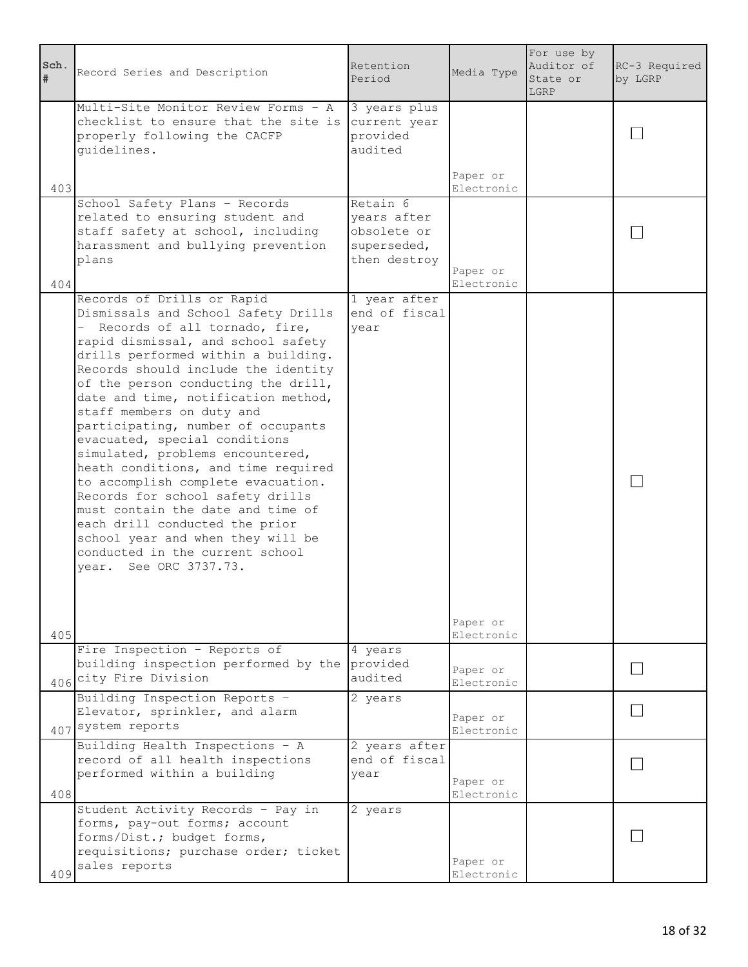| Sch.<br>$\#$ | Record Series and Description                                                                                                                                                                                                                                                                                                                                                                                                                                                                                                                                                                                                                                                                                                                                      | Retention<br>Period                                                   | Media Type             | For use by<br>Auditor of<br>State or<br>LGRP | RC-3 Required<br>by LGRP |
|--------------|--------------------------------------------------------------------------------------------------------------------------------------------------------------------------------------------------------------------------------------------------------------------------------------------------------------------------------------------------------------------------------------------------------------------------------------------------------------------------------------------------------------------------------------------------------------------------------------------------------------------------------------------------------------------------------------------------------------------------------------------------------------------|-----------------------------------------------------------------------|------------------------|----------------------------------------------|--------------------------|
|              | Multi-Site Monitor Review Forms - A<br>checklist to ensure that the site is<br>properly following the CACFP<br>quidelines.                                                                                                                                                                                                                                                                                                                                                                                                                                                                                                                                                                                                                                         | 3 years plus<br>current year<br>provided<br>audited                   |                        |                                              |                          |
| 403          |                                                                                                                                                                                                                                                                                                                                                                                                                                                                                                                                                                                                                                                                                                                                                                    |                                                                       | Paper or<br>Electronic |                                              |                          |
| 404          | School Safety Plans - Records<br>related to ensuring student and<br>staff safety at school, including<br>harassment and bullying prevention<br>plans                                                                                                                                                                                                                                                                                                                                                                                                                                                                                                                                                                                                               | Retain 6<br>years after<br>obsolete or<br>superseded,<br>then destroy | Paper or<br>Electronic |                                              |                          |
| 405          | Records of Drills or Rapid<br>Dismissals and School Safety Drills<br>$\overline{\phantom{0}}$<br>Records of all tornado, fire,<br>rapid dismissal, and school safety<br>drills performed within a building.<br>Records should include the identity<br>of the person conducting the drill,<br>date and time, notification method,<br>staff members on duty and<br>participating, number of occupants<br>evacuated, special conditions<br>simulated, problems encountered,<br>heath conditions, and time required<br>to accomplish complete evacuation.<br>Records for school safety drills<br>must contain the date and time of<br>each drill conducted the prior<br>school year and when they will be<br>conducted in the current school<br>year. See ORC 3737.73. | 1 year after<br>end of fiscal<br>vear                                 | Paper or<br>Electronic |                                              |                          |
|              | Fire Inspection - Reports of<br>building inspection performed by the<br>406 City Fire Division                                                                                                                                                                                                                                                                                                                                                                                                                                                                                                                                                                                                                                                                     | 4 years<br>provided<br>audited                                        | Paper or<br>Electronic |                                              |                          |
|              | Building Inspection Reports -<br>Elevator, sprinkler, and alarm<br>407 system reports                                                                                                                                                                                                                                                                                                                                                                                                                                                                                                                                                                                                                                                                              | 2 years                                                               | Paper or<br>Electronic |                                              |                          |
| 408          | Building Health Inspections - A<br>record of all health inspections<br>performed within a building                                                                                                                                                                                                                                                                                                                                                                                                                                                                                                                                                                                                                                                                 | 2 years after<br>end of fiscal<br>year                                | Paper or<br>Electronic |                                              |                          |
| 409          | Student Activity Records - Pay in<br>forms, pay-out forms; account<br>forms/Dist.; budget forms,<br>requisitions; purchase order; ticket<br>sales reports                                                                                                                                                                                                                                                                                                                                                                                                                                                                                                                                                                                                          | 2 years                                                               | Paper or<br>Electronic |                                              |                          |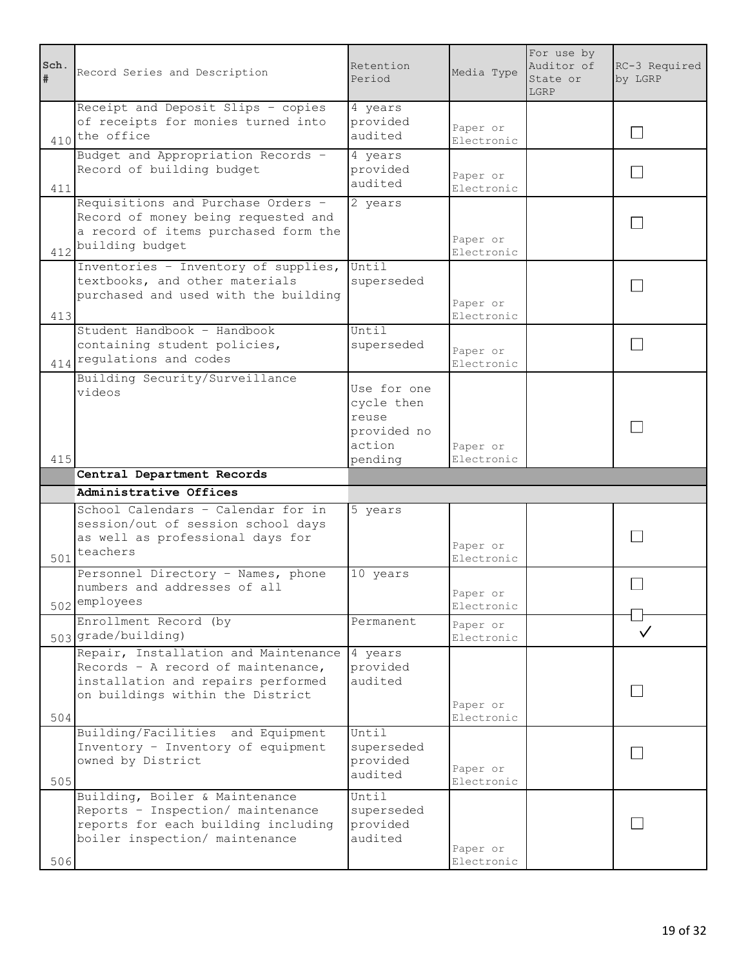| Sch.<br># | Record Series and Description                        | Retention<br>Period   | Media Type             | For use by<br>Auditor of<br>State or<br>LGRP | RC-3 Required<br>by LGRP |
|-----------|------------------------------------------------------|-----------------------|------------------------|----------------------------------------------|--------------------------|
|           | Receipt and Deposit Slips - copies                   | 4 years               |                        |                                              |                          |
|           | of receipts for monies turned into<br>410 the office | provided<br>audited   | Paper or<br>Electronic |                                              | $\mathsf{I}$             |
|           | Budget and Appropriation Records -                   | 4 years               |                        |                                              |                          |
|           | Record of building budget                            | provided              | Paper or               |                                              |                          |
| 411       |                                                      | audited               | Electronic             |                                              |                          |
|           | Requisitions and Purchase Orders -                   | 2 years               |                        |                                              |                          |
|           | Record of money being requested and                  |                       |                        |                                              |                          |
|           | a record of items purchased form the                 |                       | Paper or               |                                              |                          |
|           | 412 building budget                                  |                       | Electronic             |                                              |                          |
|           | Inventories - Inventory of supplies,                 | Until                 |                        |                                              |                          |
|           | textbooks, and other materials                       | superseded            |                        |                                              |                          |
|           | purchased and used with the building                 |                       | Paper or               |                                              |                          |
| 413       |                                                      |                       | Electronic             |                                              |                          |
|           | Student Handbook - Handbook                          | Until                 |                        |                                              |                          |
|           | containing student policies,                         | superseded            | Paper or               |                                              |                          |
|           | 414 regulations and codes                            |                       | Electronic             |                                              |                          |
|           | Building Security/Surveillance                       |                       |                        |                                              |                          |
|           | videos                                               | Use for one           |                        |                                              |                          |
|           |                                                      | cycle then            |                        |                                              |                          |
|           |                                                      | reuse                 |                        |                                              |                          |
|           |                                                      | provided no<br>action |                        |                                              |                          |
| 415       |                                                      | pending               | Paper or<br>Electronic |                                              |                          |
|           | Central Department Records                           |                       |                        |                                              |                          |
|           | Administrative Offices                               |                       |                        |                                              |                          |
|           |                                                      |                       |                        |                                              |                          |
|           |                                                      |                       |                        |                                              |                          |
|           | School Calendars - Calendar for in                   | 5 years               |                        |                                              |                          |
|           | session/out of session school days                   |                       |                        |                                              |                          |
|           | as well as professional days for<br>teachers         |                       | Paper or               |                                              |                          |
| 501       |                                                      |                       | Electronic             |                                              |                          |
|           | Personnel Directory - Names, phone                   | 10 years              |                        |                                              |                          |
|           | numbers and addresses of all                         |                       | Paper or               |                                              |                          |
|           | 502 employees                                        |                       | Electronic             |                                              |                          |
|           | Enrollment Record (by<br>503 grade/building)         | Permanent             | Paper or<br>Electronic |                                              |                          |
|           | Repair, Installation and Maintenance                 | 4 years               |                        |                                              |                          |
|           | Records - A record of maintenance,                   | provided              |                        |                                              |                          |
|           | installation and repairs performed                   | audited               |                        |                                              |                          |
|           | on buildings within the District                     |                       |                        |                                              |                          |
| 504       |                                                      |                       | Paper or<br>Electronic |                                              |                          |
|           | Building/Facilities and Equipment                    | Until                 |                        |                                              |                          |
|           | Inventory - Inventory of equipment                   | superseded            |                        |                                              |                          |
|           | owned by District                                    | provided              |                        |                                              |                          |
| 505       |                                                      | audited               | Paper or<br>Electronic |                                              |                          |
|           | Building, Boiler & Maintenance                       | Until                 |                        |                                              |                          |
|           | Reports - Inspection/ maintenance                    | superseded            |                        |                                              |                          |
|           | reports for each building including                  | provided              |                        |                                              |                          |
|           | boiler inspection/ maintenance                       | audited               |                        |                                              |                          |
| $506$     |                                                      |                       | Paper or<br>Electronic |                                              |                          |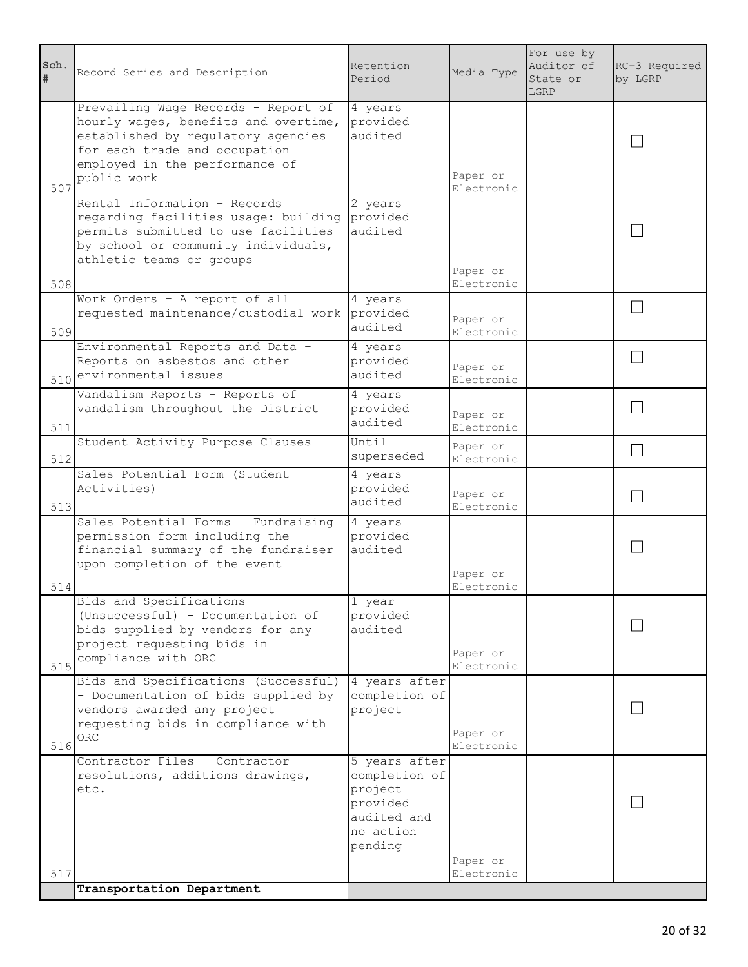| Sch.<br># | Record Series and Description                                                                                                                                                                       | Retention<br>Period                                                                          | Media Type             | For use by<br>Auditor of<br>State or<br>LGRP | RC-3 Required<br>by LGRP |
|-----------|-----------------------------------------------------------------------------------------------------------------------------------------------------------------------------------------------------|----------------------------------------------------------------------------------------------|------------------------|----------------------------------------------|--------------------------|
| 507       | Prevailing Wage Records - Report of<br>hourly wages, benefits and overtime,<br>established by regulatory agencies<br>for each trade and occupation<br>employed in the performance of<br>public work | 4 years<br>provided<br>audited                                                               | Paper or<br>Electronic |                                              |                          |
| 508       | Rental Information - Records<br>regarding facilities usage: building<br>permits submitted to use facilities<br>by school or community individuals,<br>athletic teams or groups                      | 2 years<br>provided<br>audited                                                               | Paper or<br>Electronic |                                              |                          |
| 509       | Work Orders - A report of all<br>requested maintenance/custodial work                                                                                                                               | 4 years<br>provided<br>audited                                                               | Paper or<br>Electronic |                                              |                          |
|           | Environmental Reports and Data -<br>Reports on asbestos and other<br>510 environmental issues                                                                                                       | 4 years<br>provided<br>audited                                                               | Paper or<br>Electronic |                                              |                          |
| 511       | Vandalism Reports - Reports of<br>vandalism throughout the District                                                                                                                                 | 4 years<br>provided<br>audited                                                               | Paper or<br>Electronic |                                              |                          |
| 512       | Student Activity Purpose Clauses                                                                                                                                                                    | Until<br>superseded                                                                          | Paper or<br>Electronic |                                              |                          |
| 513       | Sales Potential Form (Student<br>Activities)                                                                                                                                                        | 4 years<br>provided<br>audited                                                               | Paper or<br>Electronic |                                              |                          |
| 514       | Sales Potential Forms - Fundraising<br>permission form including the<br>financial summary of the fundraiser<br>upon completion of the event                                                         | 4 years<br>provided<br>audited                                                               | Paper or<br>Electronic |                                              |                          |
| 515       | Bids and Specifications<br>(Unsuccessful) - Documentation of<br>bids supplied by vendors for any<br>project requesting bids in<br>compliance with ORC                                               | 1 year<br>provided<br>audited                                                                | Paper or<br>Electronic |                                              |                          |
| 516       | Bids and Specifications (Successful)<br>- Documentation of bids supplied by<br>vendors awarded any project<br>requesting bids in compliance with<br>ORC.                                            | 4 years after<br>completion of<br>project                                                    | Paper or<br>Electronic |                                              |                          |
|           | Contractor Files - Contractor<br>resolutions, additions drawings,<br>etc.                                                                                                                           | 5 years after<br>completion of<br>project<br>provided<br>audited and<br>no action<br>pending | Paper or               |                                              |                          |
| 517       | Transportation Department                                                                                                                                                                           |                                                                                              | Electronic             |                                              |                          |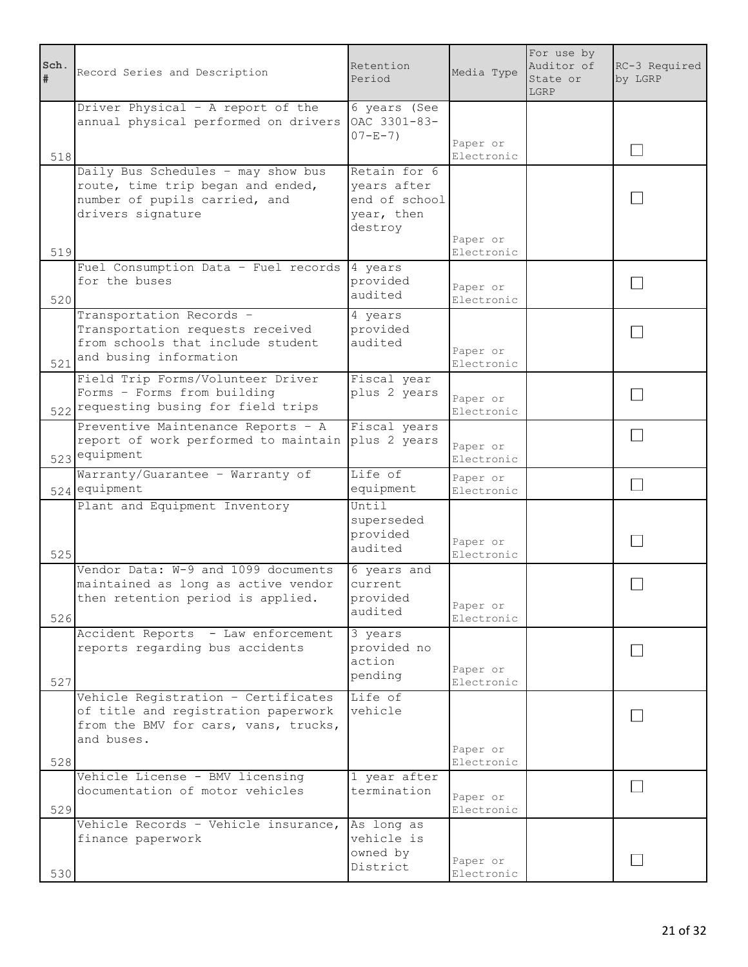| Sch.<br># | Record Series and Description                                                                                                    | Retention<br>Period                                                   | Media Type             | For use by<br>Auditor of<br>State or<br>LGRP | RC-3 Required<br>by LGRP |
|-----------|----------------------------------------------------------------------------------------------------------------------------------|-----------------------------------------------------------------------|------------------------|----------------------------------------------|--------------------------|
|           | Driver Physical - A report of the<br>annual physical performed on drivers                                                        | $6$ years (See<br>OAC 3301-83-<br>$07 - E - 7$ )                      | Paper or               |                                              |                          |
| 518       |                                                                                                                                  |                                                                       | Electronic             |                                              |                          |
|           | Daily Bus Schedules - may show bus<br>route, time trip began and ended,<br>number of pupils carried, and<br>drivers signature    | Retain for 6<br>years after<br>end of school<br>year, then<br>destroy | Paper or               |                                              |                          |
| 519       |                                                                                                                                  |                                                                       | Electronic             |                                              |                          |
| 520       | Fuel Consumption Data - Fuel records<br>for the buses                                                                            | 4 years<br>provided<br>audited                                        | Paper or<br>Electronic |                                              |                          |
| 521       | Transportation Records -<br>Transportation requests received<br>from schools that include student<br>and busing information      | 4 years<br>provided<br>audited                                        | Paper or<br>Electronic |                                              |                          |
|           | Field Trip Forms/Volunteer Driver<br>Forms - Forms from building<br>522 requesting busing for field trips                        | Fiscal year<br>plus 2 years                                           | Paper or<br>Electronic |                                              |                          |
|           | Preventive Maintenance Reports - A<br>report of work performed to maintain<br>523 equipment                                      | Fiscal years<br>plus 2 years                                          | Paper or<br>Electronic |                                              |                          |
|           | Warranty/Guarantee - Warranty of<br>524 equipment                                                                                | Life of<br>equipment                                                  | Paper or<br>Electronic |                                              | $\Box$                   |
| 525       | Plant and Equipment Inventory                                                                                                    | Until<br>superseded<br>provided<br>audited                            | Paper or<br>Electronic |                                              |                          |
| 526       | Vendor Data: W-9 and 1099 documents<br>maintained as long as active vendor<br>then retention period is applied.                  | 6 years and<br>current<br>provided<br>audited                         | Paper or<br>Electronic |                                              |                          |
| 527       | Accident Reports - Law enforcement<br>reports regarding bus accidents                                                            | 3 years<br>provided no<br>action<br>pending                           | Paper or<br>Electronic |                                              |                          |
|           | Vehicle Registration - Certificates<br>of title and registration paperwork<br>from the BMV for cars, vans, trucks,<br>and buses. | Life of<br>vehicle                                                    | Paper or               |                                              |                          |
| 528       |                                                                                                                                  |                                                                       | Electronic             |                                              |                          |
| 529       | Vehicle License - BMV licensing<br>documentation of motor vehicles                                                               | 1 year after<br>termination                                           | Paper or<br>Electronic |                                              |                          |
| 530       | Vehicle Records - Vehicle insurance,<br>finance paperwork                                                                        | As long as<br>vehicle is<br>owned by<br>District                      | Paper or<br>Electronic |                                              |                          |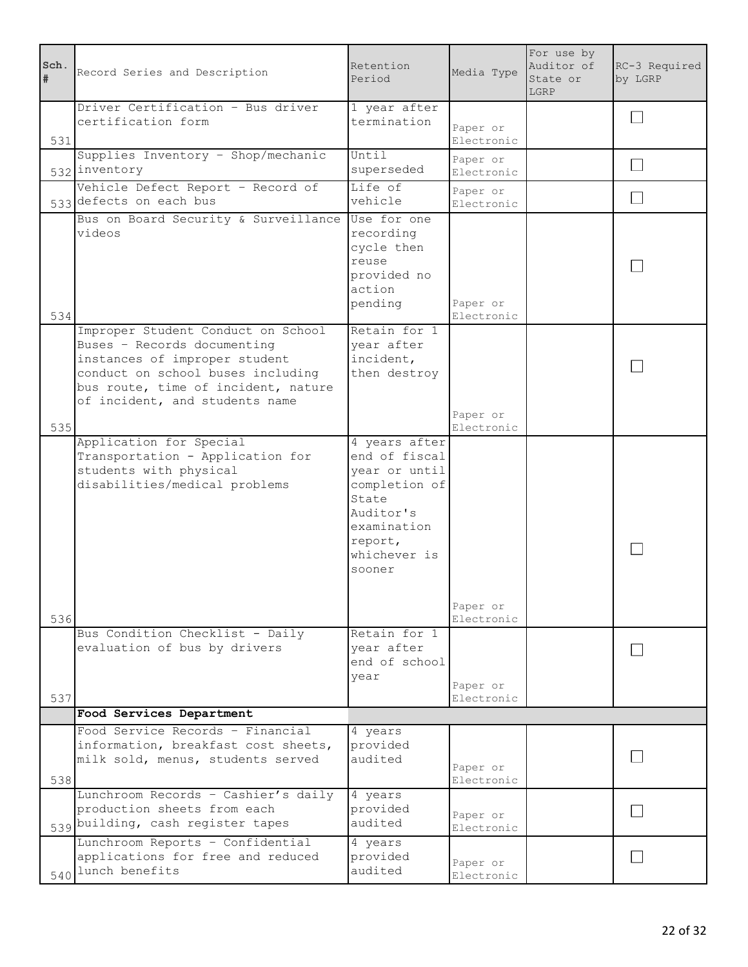| Sch. | Record Series and Description                                                                                                                                                                                    | Retention<br>Period                                                                                                                        | Media Type             | For use by<br>Auditor of<br>State or<br>LGRP | RC-3 Required<br>by LGRP |
|------|------------------------------------------------------------------------------------------------------------------------------------------------------------------------------------------------------------------|--------------------------------------------------------------------------------------------------------------------------------------------|------------------------|----------------------------------------------|--------------------------|
| 531  | Driver Certification - Bus driver<br>certification form                                                                                                                                                          | 1 year after<br>termination                                                                                                                | Paper or<br>Electronic |                                              |                          |
|      | Supplies Inventory - Shop/mechanic<br>532 inventory                                                                                                                                                              | Until<br>superseded                                                                                                                        | Paper or<br>Electronic |                                              | $\sim$                   |
|      | Vehicle Defect Report - Record of<br>533 defects on each bus                                                                                                                                                     | Life of<br>vehicle                                                                                                                         | Paper or<br>Electronic |                                              |                          |
| 534  | Bus on Board Security & Surveillance<br>videos                                                                                                                                                                   | Use for one<br>recording<br>cycle then<br>reuse<br>provided no<br>action<br>pending                                                        | Paper or<br>Electronic |                                              |                          |
| 535  | Improper Student Conduct on School<br>Buses - Records documenting<br>instances of improper student<br>conduct on school buses including<br>bus route, time of incident, nature<br>of incident, and students name | Retain for 1<br>year after<br>incident,<br>then destroy                                                                                    | Paper or<br>Electronic |                                              |                          |
|      | Application for Special<br>Transportation - Application for<br>students with physical<br>disabilities/medical problems                                                                                           | 4 years after<br>end of fiscal<br>year or until<br>completion of<br>State<br>Auditor's<br>examination<br>report,<br>whichever is<br>sooner |                        |                                              |                          |
| 536  | Bus Condition Checklist - Daily<br>evaluation of bus by drivers                                                                                                                                                  | Retain for 1<br>vear after<br>end of school                                                                                                | Paper or<br>Electronic |                                              |                          |
| 537  |                                                                                                                                                                                                                  | year                                                                                                                                       | Paper or<br>Electronic |                                              |                          |
|      | Food Services Department                                                                                                                                                                                         |                                                                                                                                            |                        |                                              |                          |
| 538  | Food Service Records - Financial<br>information, breakfast cost sheets,<br>milk sold, menus, students served                                                                                                     | 4 years<br>provided<br>audited                                                                                                             | Paper or<br>Electronic |                                              |                          |
|      | Lunchroom Records - Cashier's daily<br>production sheets from each<br>539 building, cash register tapes                                                                                                          | 4 years<br>provided<br>audited                                                                                                             | Paper or<br>Electronic |                                              |                          |
|      | Lunchroom Reports - Confidential<br>applications for free and reduced<br>$540$ lunch benefits                                                                                                                    | 4 years<br>provided<br>audited                                                                                                             | Paper or<br>Electronic |                                              |                          |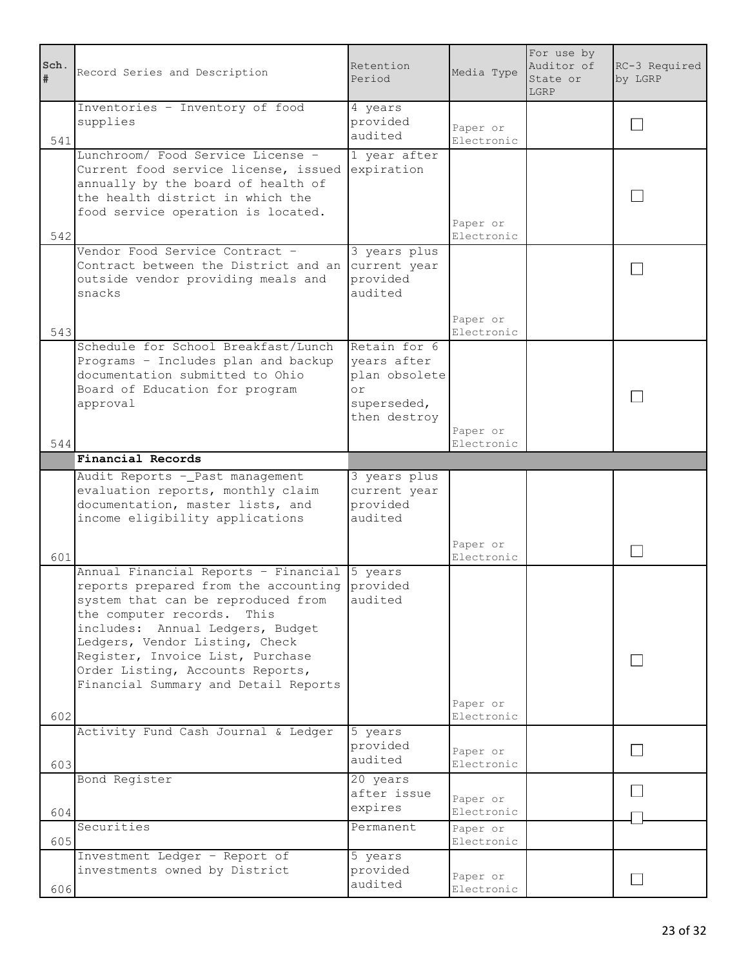| Sch.<br>$\#$ | Record Series and Description                                                                                                                                                                                                                                                                                                                              | Retention<br>Period                                                               | Media Type             | For use by<br>Auditor of<br>State or<br>LGRP | RC-3 Required<br>by LGRP |
|--------------|------------------------------------------------------------------------------------------------------------------------------------------------------------------------------------------------------------------------------------------------------------------------------------------------------------------------------------------------------------|-----------------------------------------------------------------------------------|------------------------|----------------------------------------------|--------------------------|
| 541          | Inventories - Inventory of food<br>supplies                                                                                                                                                                                                                                                                                                                | 4 years<br>provided<br>audited                                                    | Paper or<br>Electronic |                                              |                          |
| 542          | Lunchroom/ Food Service License -<br>Current food service license, issued<br>annually by the board of health of<br>the health district in which the<br>food service operation is located.                                                                                                                                                                  | 1 year after<br>expiration                                                        | Paper or<br>Electronic |                                              |                          |
| 543          | Vendor Food Service Contract -<br>Contract between the District and an<br>outside vendor providing meals and<br>snacks                                                                                                                                                                                                                                     | 3 years plus<br>current year<br>provided<br>audited                               | Paper or<br>Electronic |                                              |                          |
| 544          | Schedule for School Breakfast/Lunch<br>Programs - Includes plan and backup<br>documentation submitted to Ohio<br>Board of Education for program<br>approval                                                                                                                                                                                                | Retain for 6<br>years after<br>plan obsolete<br>or<br>superseded,<br>then destroy | Paper or<br>Electronic |                                              |                          |
|              | Financial Records                                                                                                                                                                                                                                                                                                                                          |                                                                                   |                        |                                              |                          |
|              | Audit Reports - Past management<br>evaluation reports, monthly claim<br>documentation, master lists, and<br>income eligibility applications                                                                                                                                                                                                                | 3 years plus<br>current year<br>provided<br>audited                               |                        |                                              |                          |
| 601          |                                                                                                                                                                                                                                                                                                                                                            |                                                                                   | Paper or<br>Electronic |                                              |                          |
| 602          | Annual Financial Reports - Financial 5 years<br>reports prepared from the accounting provided<br>system that can be reproduced from<br>the computer records.<br>This<br>includes: Annual Ledgers, Budget<br>Ledgers, Vendor Listing, Check<br>Register, Invoice List, Purchase<br>Order Listing, Accounts Reports,<br>Financial Summary and Detail Reports | audited                                                                           | Paper or<br>Electronic |                                              |                          |
| 603          | Activity Fund Cash Journal & Ledger                                                                                                                                                                                                                                                                                                                        | 5 years<br>provided<br>audited                                                    | Paper or<br>Electronic |                                              |                          |
| 604          | Bond Register                                                                                                                                                                                                                                                                                                                                              | 20 years<br>after issue<br>expires                                                | Paper or<br>Electronic |                                              |                          |
| 605          | Securities                                                                                                                                                                                                                                                                                                                                                 | Permanent                                                                         | Paper or<br>Electronic |                                              |                          |
| 606          | Investment Ledger - Report of<br>investments owned by District                                                                                                                                                                                                                                                                                             | 5 years<br>provided<br>audited                                                    | Paper or<br>Electronic |                                              |                          |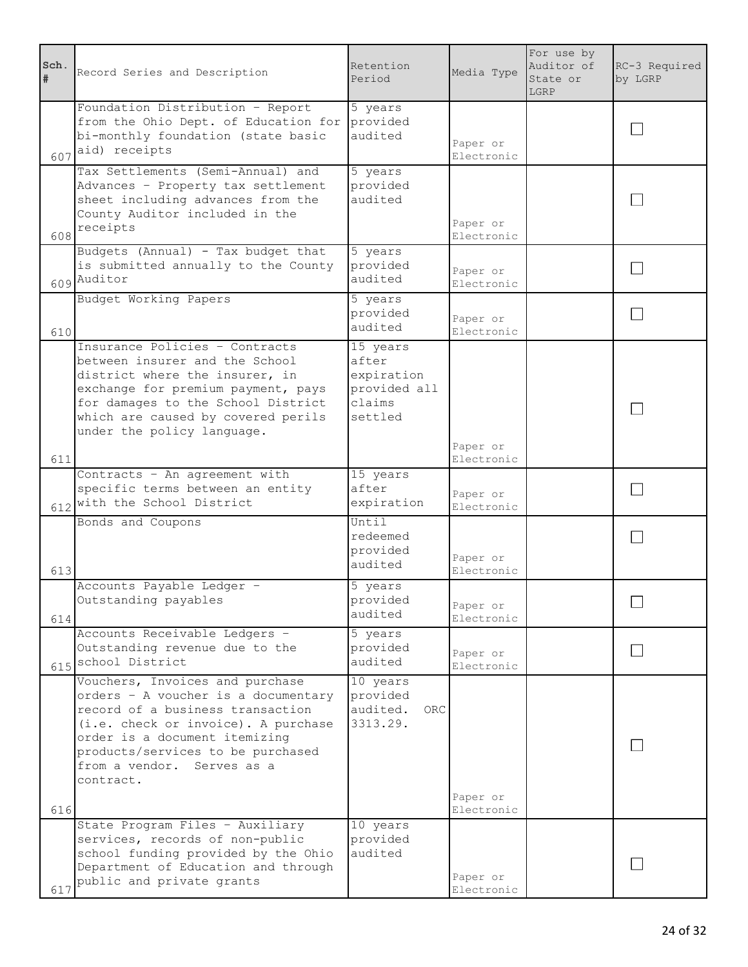| Sch.<br># | Record Series and Description                                                                                                                                                                                                                                      | Retention<br>Period                                                  | Media Type             | For use by<br>Auditor of<br>State or<br>LGRP | RC-3 Required<br>by LGRP |
|-----------|--------------------------------------------------------------------------------------------------------------------------------------------------------------------------------------------------------------------------------------------------------------------|----------------------------------------------------------------------|------------------------|----------------------------------------------|--------------------------|
|           | Foundation Distribution - Report<br>from the Ohio Dept. of Education for<br>bi-monthly foundation (state basic<br>$607$ aid) receipts                                                                                                                              | 5 years<br>provided<br>audited                                       | Paper or<br>Electronic |                                              |                          |
| 608       | Tax Settlements (Semi-Annual) and<br>Advances - Property tax settlement<br>sheet including advances from the<br>County Auditor included in the<br>receipts                                                                                                         | 5 years<br>provided<br>audited                                       | Paper or<br>Electronic |                                              |                          |
|           | Budgets (Annual) - Tax budget that<br>is submitted annually to the County<br>609 Auditor                                                                                                                                                                           | 5 years<br>provided<br>audited                                       | Paper or<br>Electronic |                                              |                          |
| 610       | Budget Working Papers                                                                                                                                                                                                                                              | 5 years<br>provided<br>audited                                       | Paper or<br>Electronic |                                              |                          |
| 611       | Insurance Policies - Contracts<br>between insurer and the School<br>district where the insurer, in<br>exchange for premium payment, pays<br>for damages to the School District<br>which are caused by covered perils<br>under the policy language.                 | 15 years<br>after<br>expiration<br>provided all<br>claims<br>settled | Paper or<br>Electronic |                                              |                          |
|           | Contracts - An agreement with<br>specific terms between an entity<br>612 with the School District                                                                                                                                                                  | 15 years<br>after<br>expiration                                      | Paper or<br>Electronic |                                              |                          |
| 613       | Bonds and Coupons                                                                                                                                                                                                                                                  | Until<br>redeemed<br>provided<br>audited                             | Paper or<br>Electronic |                                              |                          |
| 614       | Accounts Payable Ledger -<br>Outstanding payables                                                                                                                                                                                                                  | 5 years<br>provided<br>audited                                       | Paper or<br>Electronic |                                              |                          |
|           | Accounts Receivable Ledgers -<br>Outstanding revenue due to the<br>615 school District                                                                                                                                                                             | 5 years<br>provided<br>audited                                       | Paper or<br>Electronic |                                              |                          |
| 616       | Vouchers, Invoices and purchase<br>orders - A voucher is a documentary<br>record of a business transaction<br>(i.e. check or invoice). A purchase<br>order is a document itemizing<br>products/services to be purchased<br>from a vendor. Serves as a<br>contract. | 10 years<br>provided<br>audited.<br>ORC.<br>3313.29.                 | Paper or<br>Electronic |                                              |                          |
| 617       | State Program Files - Auxiliary<br>services, records of non-public<br>school funding provided by the Ohio<br>Department of Education and through<br>public and private grants                                                                                      | 10 years<br>provided<br>audited                                      | Paper or<br>Electronic |                                              |                          |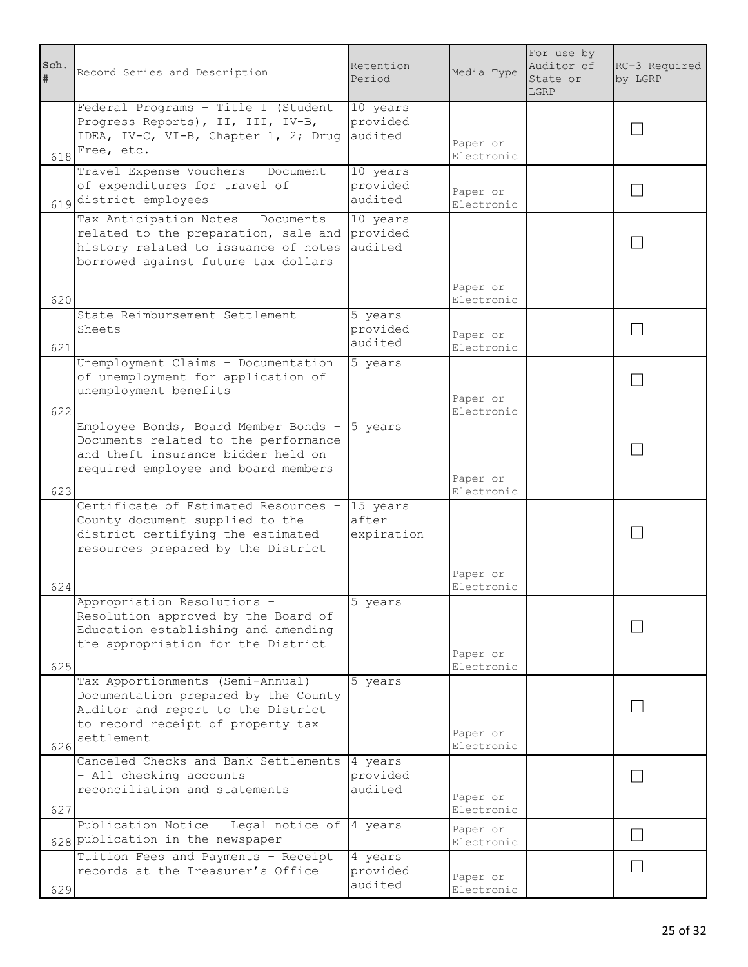| Sch.<br>$\#$ | Record Series and Description                                                                                                                                       | Retention<br>Period             | Media Type                           | For use by<br>Auditor of<br>State or<br>LGRP | RC-3 Required<br>by LGRP |
|--------------|---------------------------------------------------------------------------------------------------------------------------------------------------------------------|---------------------------------|--------------------------------------|----------------------------------------------|--------------------------|
| 618          | Federal Programs - Title I (Student<br>Progress Reports), II, III, IV-B,<br>IDEA, IV-C, VI-B, Chapter 1, 2; Drug<br>Free, etc.                                      | 10 years<br>provided<br>audited | Paper or<br>Electronic               |                                              |                          |
|              | Travel Expense Vouchers - Document<br>of expenditures for travel of<br>619 district employees                                                                       | 10 years<br>provided<br>audited | Paper or<br>Electronic               |                                              |                          |
|              | Tax Anticipation Notes - Documents<br>related to the preparation, sale and<br>history related to issuance of notes<br>borrowed against future tax dollars           | 10 years<br>provided<br>audited |                                      |                                              |                          |
| 620          |                                                                                                                                                                     |                                 | Paper or<br>Electronic               |                                              |                          |
| 621          | State Reimbursement Settlement<br>Sheets                                                                                                                            | 5 years<br>provided<br>audited  | Paper or<br>Electronic               |                                              |                          |
| 622          | Unemployment Claims - Documentation<br>of unemployment for application of<br>unemployment benefits                                                                  | 5 years                         | Paper or<br>Electronic               |                                              |                          |
|              | Employee Bonds, Board Member Bonds -<br>Documents related to the performance<br>and theft insurance bidder held on<br>required employee and board members           | 5 years                         | Paper or                             |                                              |                          |
| 623          | Certificate of Estimated Resources -<br>County document supplied to the<br>district certifying the estimated<br>resources prepared by the District                  | 15 years<br>after<br>expiration | Electronic<br>Paper or               |                                              |                          |
| 624<br>625   | Appropriation Resolutions -<br>Resolution approved by the Board of<br>Education establishing and amending<br>the appropriation for the District                     | 5 years                         | Electronic<br>Paper or<br>Electronic |                                              |                          |
| 626          | Tax Apportionments (Semi-Annual) -<br>Documentation prepared by the County<br>Auditor and report to the District<br>to record receipt of property tax<br>settlement | 5 years                         | Paper or<br>Electronic               |                                              |                          |
| 627          | Canceled Checks and Bank Settlements<br>- All checking accounts<br>reconciliation and statements                                                                    | 4 years<br>provided<br>audited  | Paper or<br>Electronic               |                                              |                          |
|              | Publication Notice - Legal notice of<br>628 publication in the newspaper                                                                                            | 4 years                         | Paper or<br>Electronic               |                                              |                          |
| 629          | Tuition Fees and Payments - Receipt<br>records at the Treasurer's Office                                                                                            | 4 years<br>provided<br>audited  | Paper or<br>Electronic               |                                              |                          |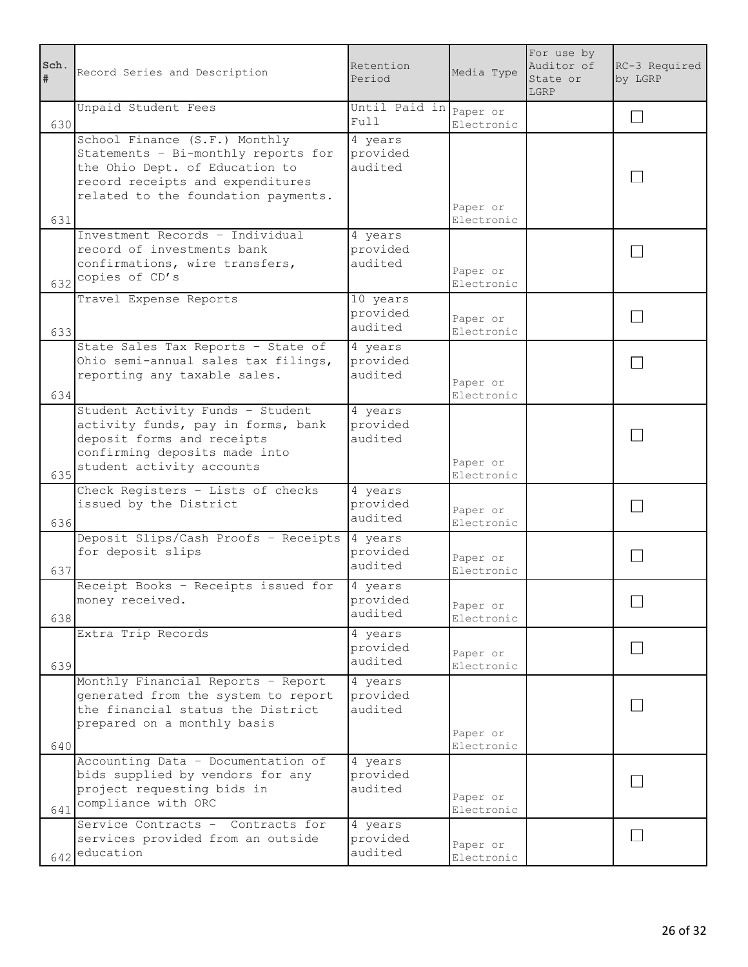| Sch.<br>$\#$ | Record Series and Description                                                                                                                                                     | Retention<br>Period             | Media Type             | For use by<br>Auditor of<br>State or<br>LGRP | RC-3 Required<br>by LGRP |
|--------------|-----------------------------------------------------------------------------------------------------------------------------------------------------------------------------------|---------------------------------|------------------------|----------------------------------------------|--------------------------|
| 630          | Unpaid Student Fees                                                                                                                                                               | Until Paid in Paper or<br>Full  | Electronic             |                                              | $\mathbf{I}$             |
| 631          | School Finance (S.F.) Monthly<br>Statements - Bi-monthly reports for<br>the Ohio Dept. of Education to<br>record receipts and expenditures<br>related to the foundation payments. | 4 years<br>provided<br>audited  | Paper or<br>Electronic |                                              |                          |
| 632          | Investment Records - Individual<br>record of investments bank<br>confirmations, wire transfers,<br>copies of CD's                                                                 | 4 years<br>provided<br>audited  | Paper or<br>Electronic |                                              |                          |
| 633          | Travel Expense Reports                                                                                                                                                            | 10 years<br>provided<br>audited | Paper or<br>Electronic |                                              |                          |
| 634          | State Sales Tax Reports - State of<br>Ohio semi-annual sales tax filings,<br>reporting any taxable sales.                                                                         | 4 years<br>provided<br>audited  | Paper or<br>Electronic |                                              |                          |
| 635          | Student Activity Funds - Student<br>activity funds, pay in forms, bank<br>deposit forms and receipts<br>confirming deposits made into<br>student activity accounts                | 4 years<br>provided<br>audited  | Paper or<br>Electronic |                                              |                          |
| 636          | Check Registers - Lists of checks<br>issued by the District                                                                                                                       | 4 years<br>provided<br>audited  | Paper or<br>Electronic |                                              |                          |
| 637          | Deposit Slips/Cash Proofs - Receipts<br>for deposit slips                                                                                                                         | 4 years<br>provided<br>audited  | Paper or<br>Electronic |                                              |                          |
| 638          | Receipt Books - Receipts issued for<br>money received.                                                                                                                            | 4 years<br>provided<br>audited  | Paper or<br>Electronic |                                              |                          |
| 639          | Extra Trip Records                                                                                                                                                                | 4 years<br>provided<br>audited  | Paper or<br>Electronic |                                              | $\blacksquare$           |
| 640          | Monthly Financial Reports - Report<br>generated from the system to report<br>the financial status the District<br>prepared on a monthly basis                                     | 4 years<br>provided<br>audited  | Paper or<br>Electronic |                                              |                          |
| 641          | Accounting Data - Documentation of<br>bids supplied by vendors for any<br>project requesting bids in<br>compliance with ORC                                                       | 4 years<br>provided<br>audited  | Paper or<br>Electronic |                                              |                          |
|              | Service Contracts - Contracts for<br>services provided from an outside<br>$642$ education                                                                                         | 4 years<br>provided<br>audited  | Paper or<br>Electronic |                                              |                          |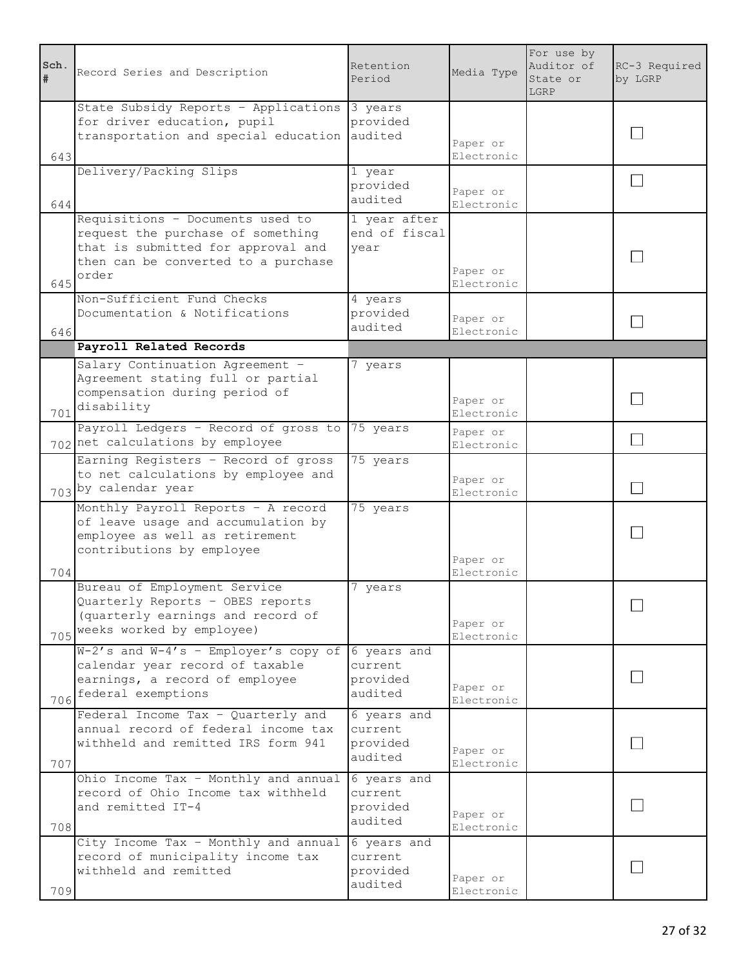| Sch.<br>$\#$ | Record Series and Description                                                                                                                               | Retention<br>Period                            | Media Type                           | For use by<br>Auditor of<br>State or<br>LGRP | RC-3 Required<br>by LGRP |
|--------------|-------------------------------------------------------------------------------------------------------------------------------------------------------------|------------------------------------------------|--------------------------------------|----------------------------------------------|--------------------------|
| 643          | State Subsidy Reports - Applications<br>for driver education, pupil<br>transportation and special education                                                 | 3 years<br>provided<br>audited                 | Paper or<br>Electronic               |                                              |                          |
| 644          | Delivery/Packing Slips                                                                                                                                      | 1 year<br>provided<br>audited                  | Paper or<br>Electronic               |                                              |                          |
| 645          | Requisitions - Documents used to<br>request the purchase of something<br>that is submitted for approval and<br>then can be converted to a purchase<br>order | 1 year after<br>end of fiscal<br>year          | Paper or<br>Electronic               |                                              |                          |
| 646          | Non-Sufficient Fund Checks<br>Documentation & Notifications                                                                                                 | 4 years<br>provided<br>audited                 | Paper or<br>Electronic               |                                              |                          |
|              | Payroll Related Records                                                                                                                                     |                                                |                                      |                                              |                          |
| 701          | Salary Continuation Agreement -<br>Agreement stating full or partial<br>compensation during period of<br>disability                                         | years                                          | Paper or<br>Electronic               |                                              |                          |
|              | Payroll Ledgers - Record of gross to<br>702 net calculations by employee                                                                                    | 75 years                                       | Paper or<br>Electronic               |                                              | $\blacksquare$           |
|              | Earning Registers - Record of gross<br>to net calculations by employee and<br>703 by calendar year                                                          | 75 years                                       | Paper or<br>Electronic               |                                              |                          |
|              | Monthly Payroll Reports - A record<br>of leave usage and accumulation by<br>employee as well as retirement<br>contributions by employee                     | 75 years                                       | Paper or                             |                                              |                          |
| 704<br>705   | Bureau of Employment Service<br>Quarterly Reports - OBES reports<br>(quarterly earnings and record of<br>weeks worked by employee)                          | 7<br>years                                     | Electronic<br>Paper or<br>Electronic |                                              |                          |
| 706          | $W-2's$ and $W-4's$ - Employer's copy of<br>calendar year record of taxable<br>earnings, a record of employee<br>federal exemptions                         | 6 years and<br>current.<br>provided<br>audited | Paper or<br>Electronic               |                                              |                          |
| 707          | Federal Income Tax - Quarterly and<br>annual record of federal income tax<br>withheld and remitted IRS form 941                                             | 6 years and<br>current<br>provided<br>audited  | Paper or<br>Electronic               |                                              |                          |
| 708          | Ohio Income Tax - Monthly and annual<br>record of Ohio Income tax withheld<br>and remitted IT-4                                                             | 6 years and<br>current<br>provided<br>audited  | Paper or<br>Electronic               |                                              |                          |
| 709          | City Income Tax - Monthly and annual<br>record of municipality income tax<br>withheld and remitted                                                          | 6 years and<br>current<br>provided<br>audited  | Paper or<br>Electronic               |                                              |                          |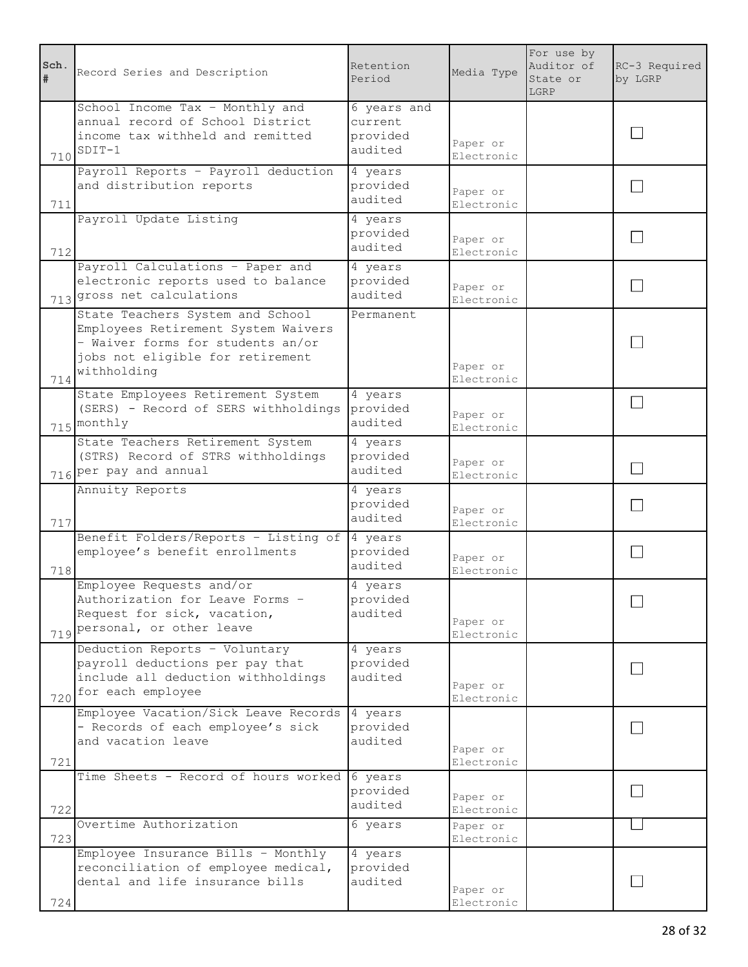| Sch.<br>$\pmb{\ast}$ | Record Series and Description                                                                                                                                   | Retention<br>Period                           | Media Type             | For use by<br>Auditor of<br>State or<br>LGRP | RC-3 Required<br>by LGRP |
|----------------------|-----------------------------------------------------------------------------------------------------------------------------------------------------------------|-----------------------------------------------|------------------------|----------------------------------------------|--------------------------|
| 710                  | School Income Tax - Monthly and<br>annual record of School District<br>income tax withheld and remitted<br>$SDIT-1$                                             | 6 years and<br>current<br>provided<br>audited | Paper or<br>Electronic |                                              |                          |
| 711                  | Payroll Reports - Payroll deduction<br>and distribution reports                                                                                                 | 4 years<br>provided<br>audited                | Paper or<br>Electronic |                                              |                          |
| 712                  | Payroll Update Listing                                                                                                                                          | 4 years<br>provided<br>audited                | Paper or<br>Electronic |                                              |                          |
|                      | Payroll Calculations - Paper and<br>electronic reports used to balance<br>713 gross net calculations                                                            | 4 years<br>provided<br>audited                | Paper or<br>Electronic |                                              |                          |
| 714                  | State Teachers System and School<br>Employees Retirement System Waivers<br>- Waiver forms for students an/or<br>jobs not eligible for retirement<br>withholding | Permanent.                                    | Paper or<br>Electronic |                                              |                          |
|                      | State Employees Retirement System<br>(SERS) - Record of SERS withholdings<br>715 monthly                                                                        | 4 years<br>provided<br>audited                | Paper or<br>Electronic |                                              |                          |
|                      | State Teachers Retirement System<br>(STRS) Record of STRS withholdings<br>716 per pay and annual                                                                | 4 years<br>provided<br>audited                | Paper or<br>Electronic |                                              |                          |
| 717                  | Annuity Reports                                                                                                                                                 | 4 years<br>provided<br>audited                | Paper or<br>Electronic |                                              |                          |
| 718                  | Benefit Folders/Reports - Listing of<br>employee's benefit enrollments                                                                                          | 4 years<br>provided<br>audited                | Paper or<br>Electronic |                                              |                          |
|                      | Employee Requests and/or                                                                                                                                        | 4 years                                       |                        |                                              |                          |
|                      | Authorization for Leave Forms -<br>Request for sick, vacation,<br>719 personal, or other leave                                                                  | provided<br>audited                           | Paper or<br>Electronic |                                              |                          |
| 720                  | Deduction Reports - Voluntary<br>payroll deductions per pay that<br>include all deduction withholdings<br>for each employee                                     | 4 years<br>provided<br>audited                | Paper or<br>Electronic |                                              |                          |
| 721                  | Employee Vacation/Sick Leave Records<br>- Records of each employee's sick<br>and vacation leave                                                                 | 4 years<br>provided<br>audited                | Paper or<br>Electronic |                                              |                          |
| 722                  | Time Sheets - Record of hours worked                                                                                                                            | 6 years<br>provided<br>audited                | Paper or<br>Electronic |                                              |                          |
| 723                  | Overtime Authorization                                                                                                                                          | 6 years                                       | Paper or<br>Electronic |                                              |                          |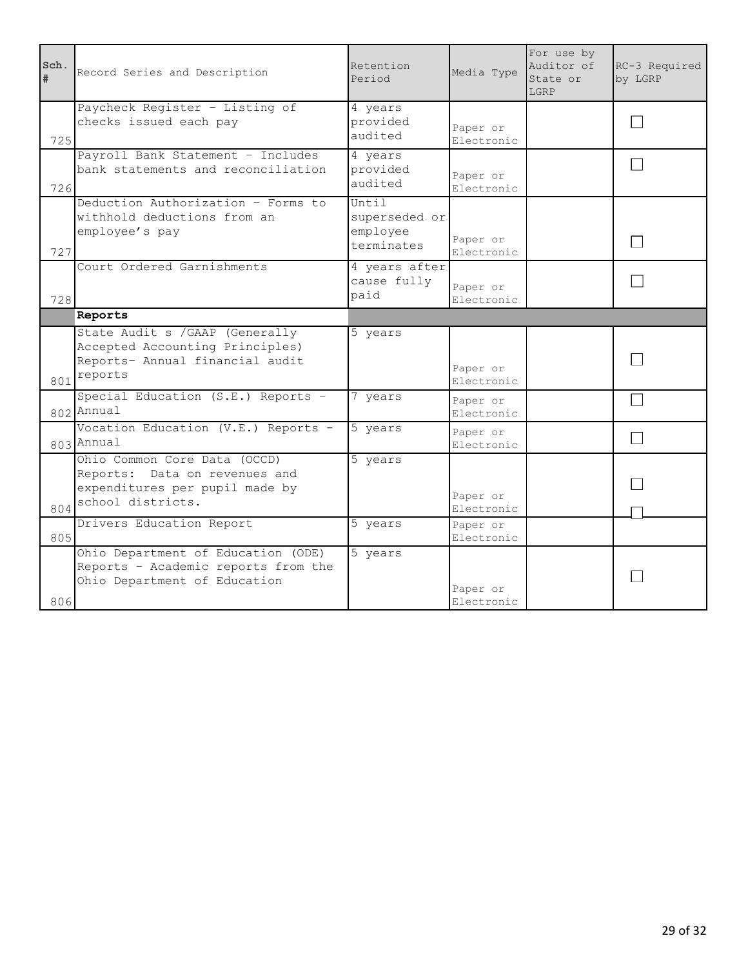| Sch.<br># | Record Series and Description                                                                                        | Retention<br>Period                              | Media Type             | For use by<br>Auditor of<br>State or<br>LGRP | RC-3 Required<br>by LGRP |
|-----------|----------------------------------------------------------------------------------------------------------------------|--------------------------------------------------|------------------------|----------------------------------------------|--------------------------|
| 725       | Paycheck Register - Listing of<br>checks issued each pay                                                             | 4 years<br>provided<br>audited                   | Paper or<br>Electronic |                                              |                          |
| 726       | Payroll Bank Statement - Includes<br>bank statements and reconciliation                                              | 4 years<br>provided<br>audited                   | Paper or<br>Electronic |                                              |                          |
| 727       | Deduction Authorization - Forms to<br>withhold deductions from an<br>employee's pay                                  | Until<br>superseded or<br>employee<br>terminates | Paper or<br>Electronic |                                              |                          |
| 728       | Court Ordered Garnishments                                                                                           | 4 years after<br>cause fully<br>paid             | Paper or<br>Electronic |                                              |                          |
|           | Reports                                                                                                              |                                                  |                        |                                              |                          |
| 801       | State Audit s / GAAP (Generally<br>Accepted Accounting Principles)<br>Reports- Annual financial audit<br>reports     | 5 years                                          | Paper or<br>Electronic |                                              |                          |
|           | Special Education (S.E.) Reports -<br>802 Annual                                                                     | 7 years                                          | Paper or<br>Electronic |                                              |                          |
|           | Vocation Education (V.E.) Reports -<br>803 Annual                                                                    | 5 years                                          | Paper or<br>Electronic |                                              | $\blacksquare$           |
| 804       | Ohio Common Core Data (OCCD)<br>Reports: Data on revenues and<br>expenditures per pupil made by<br>school districts. | 5 years                                          | Paper or<br>Electronic |                                              |                          |
| 805       | Drivers Education Report                                                                                             | 5 years                                          | Paper or<br>Electronic |                                              |                          |
| 806       | Ohio Department of Education (ODE)<br>Reports - Academic reports from the<br>Ohio Department of Education            | 5 years                                          | Paper or<br>Electronic |                                              |                          |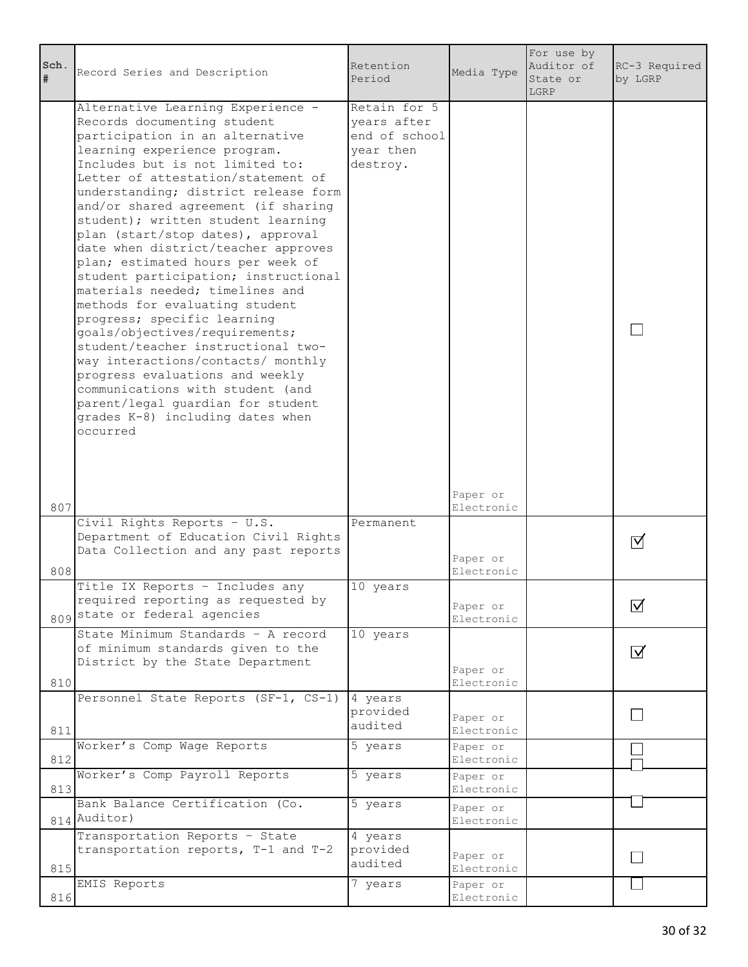| Sch.<br>$\#$ | Record Series and Description                                                                                                                                                                                                                                                                                                                                                                                                                                                                                                                                                                                                                                                                                                                                                                                                                                            | Retention<br>Period                                                   | Media Type             | For use by<br>Auditor of<br>State or<br>LGRP | RC-3 Required<br>by LGRP |
|--------------|--------------------------------------------------------------------------------------------------------------------------------------------------------------------------------------------------------------------------------------------------------------------------------------------------------------------------------------------------------------------------------------------------------------------------------------------------------------------------------------------------------------------------------------------------------------------------------------------------------------------------------------------------------------------------------------------------------------------------------------------------------------------------------------------------------------------------------------------------------------------------|-----------------------------------------------------------------------|------------------------|----------------------------------------------|--------------------------|
| 807          | Alternative Learning Experience -<br>Records documenting student<br>participation in an alternative<br>learning experience program.<br>Includes but is not limited to:<br>Letter of attestation/statement of<br>understanding; district release form<br>and/or shared agreement (if sharing<br>student); written student learning<br>plan (start/stop dates), approval<br>date when district/teacher approves<br>plan; estimated hours per week of<br>student participation; instructional<br>materials needed; timelines and<br>methods for evaluating student<br>progress; specific learning<br>goals/objectives/requirements;<br>student/teacher instructional two-<br>way interactions/contacts/ monthly<br>progress evaluations and weekly<br>communications with student (and<br>parent/legal guardian for student<br>grades K-8) including dates when<br>occurred | Retain for 5<br>years after<br>end of school<br>year then<br>destroy. | Paper or<br>Electronic |                                              |                          |
| 808          | Civil Rights Reports - U.S.<br>Department of Education Civil Rights<br>Data Collection and any past reports                                                                                                                                                                                                                                                                                                                                                                                                                                                                                                                                                                                                                                                                                                                                                              | Permanent                                                             | Paper or<br>Electronic |                                              | Ⅵ                        |
|              | Title IX Reports - Includes any<br>required reporting as requested by<br>809 state or federal agencies                                                                                                                                                                                                                                                                                                                                                                                                                                                                                                                                                                                                                                                                                                                                                                   | 10 years                                                              | Paper or<br>Electronic |                                              | $\triangledown$          |
| 810          | State Minimum Standards - A record<br>of minimum standards given to the<br>District by the State Department                                                                                                                                                                                                                                                                                                                                                                                                                                                                                                                                                                                                                                                                                                                                                              | 10 years                                                              | Paper or<br>Electronic |                                              | $\overline{\mathsf{M}}$  |
| 811          | Personnel State Reports (SF-1, CS-1)                                                                                                                                                                                                                                                                                                                                                                                                                                                                                                                                                                                                                                                                                                                                                                                                                                     | 4 years<br>provided<br>audited                                        | Paper or<br>Electronic |                                              |                          |
| 812          | Worker's Comp Wage Reports                                                                                                                                                                                                                                                                                                                                                                                                                                                                                                                                                                                                                                                                                                                                                                                                                                               | 5 years                                                               | Paper or<br>Electronic |                                              |                          |
| 813          | Worker's Comp Payroll Reports                                                                                                                                                                                                                                                                                                                                                                                                                                                                                                                                                                                                                                                                                                                                                                                                                                            | 5 years                                                               | Paper or<br>Electronic |                                              |                          |
|              | Bank Balance Certification (Co.<br>814 Auditor)                                                                                                                                                                                                                                                                                                                                                                                                                                                                                                                                                                                                                                                                                                                                                                                                                          | 5 years                                                               | Paper or<br>Electronic |                                              |                          |
| 815          | Transportation Reports - State<br>transportation reports, T-1 and T-2                                                                                                                                                                                                                                                                                                                                                                                                                                                                                                                                                                                                                                                                                                                                                                                                    | 4 years<br>provided<br>audited                                        | Paper or<br>Electronic |                                              |                          |
| 816          | EMIS Reports                                                                                                                                                                                                                                                                                                                                                                                                                                                                                                                                                                                                                                                                                                                                                                                                                                                             | 7 years                                                               | Paper or<br>Electronic |                                              |                          |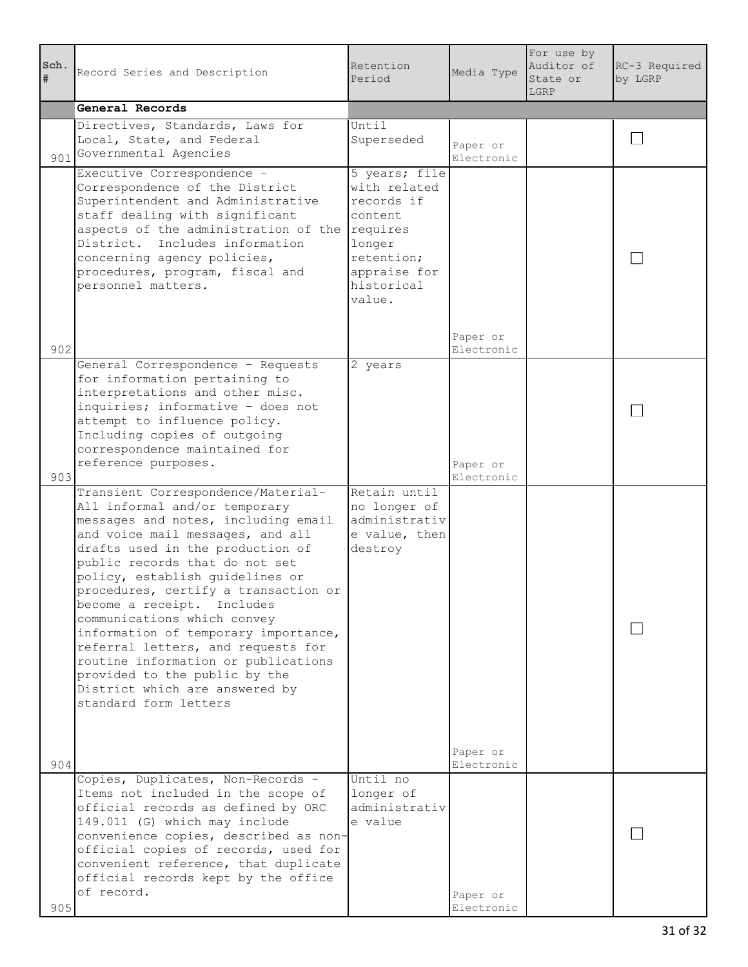| Sch.<br># | Record Series and Description                                                                                                                                                                                                                                                                                                                                                                                                                                                                                                                                                 | Retention<br>Period                                                                                                                 | Media Type             | For use by<br>Auditor of<br>State or<br>LGRP | RC-3 Required<br>by LGRP |
|-----------|-------------------------------------------------------------------------------------------------------------------------------------------------------------------------------------------------------------------------------------------------------------------------------------------------------------------------------------------------------------------------------------------------------------------------------------------------------------------------------------------------------------------------------------------------------------------------------|-------------------------------------------------------------------------------------------------------------------------------------|------------------------|----------------------------------------------|--------------------------|
|           | General Records                                                                                                                                                                                                                                                                                                                                                                                                                                                                                                                                                               |                                                                                                                                     |                        |                                              |                          |
|           | Directives, Standards, Laws for<br>Local, State, and Federal<br>901 Governmental Agencies                                                                                                                                                                                                                                                                                                                                                                                                                                                                                     | Until<br>Superseded                                                                                                                 | Paper or<br>Electronic |                                              |                          |
|           | Executive Correspondence -<br>Correspondence of the District<br>Superintendent and Administrative<br>staff dealing with significant<br>aspects of the administration of the<br>District. Includes information<br>concerning agency policies,<br>procedures, program, fiscal and<br>personnel matters.                                                                                                                                                                                                                                                                         | 5 years; file<br>with related<br>records if<br>content.<br>requires<br>longer<br>retention;<br>appraise for<br>historical<br>value. | Paper or               |                                              |                          |
| 902       |                                                                                                                                                                                                                                                                                                                                                                                                                                                                                                                                                                               |                                                                                                                                     | Electronic             |                                              |                          |
|           | General Correspondence - Requests<br>for information pertaining to<br>interpretations and other misc.<br>inquiries; informative - does not<br>attempt to influence policy.<br>Including copies of outgoing<br>correspondence maintained for<br>reference purposes.                                                                                                                                                                                                                                                                                                            | 2 years                                                                                                                             | Paper or               |                                              |                          |
| 903       |                                                                                                                                                                                                                                                                                                                                                                                                                                                                                                                                                                               |                                                                                                                                     | Electronic             |                                              |                          |
|           | Transient Correspondence/Material-<br>All informal and/or temporary<br>messages and notes, including email<br>and voice mail messages, and all<br>drafts used in the production of<br>public records that do not set<br>policy, establish guidelines or<br>procedures, certify a transaction or<br>become a receipt. Includes<br>communications which convey<br>information of temporary importance,<br>referral letters, and requests for<br>routine information or publications<br>provided to the public by the<br>District which are answered by<br>standard form letters | Retain until<br>no longer of<br>administrativ<br>e value, then<br>destroy                                                           | Paper or               |                                              |                          |
| 904       |                                                                                                                                                                                                                                                                                                                                                                                                                                                                                                                                                                               |                                                                                                                                     | Electronic             |                                              |                          |
| 905       | Copies, Duplicates, Non-Records -<br>Items not included in the scope of<br>official records as defined by ORC<br>149.011 (G) which may include<br>convenience copies, described as non-<br>official copies of records, used for<br>convenient reference, that duplicate<br>official records kept by the office<br>of record.                                                                                                                                                                                                                                                  | Until no<br>longer of<br>administrativ<br>e value                                                                                   | Paper or<br>Electronic |                                              |                          |